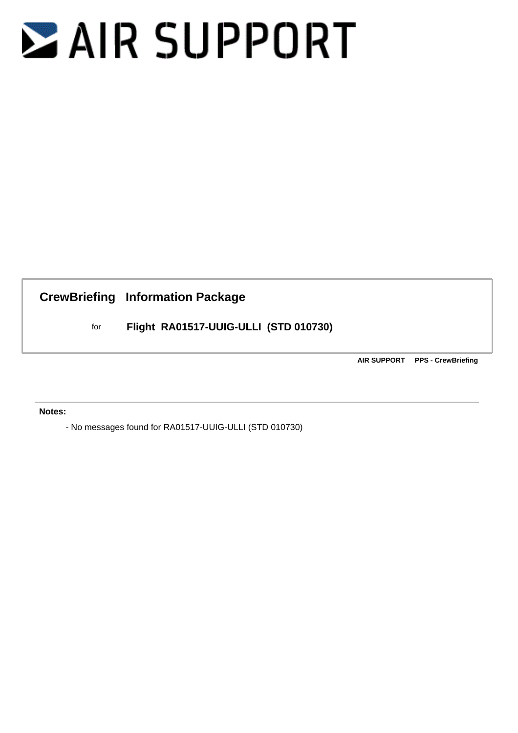## **ZAIR SUPPORT**

**CrewBriefing Information Package**

for **Flight RA01517-UUIG-ULLI (STD 010730)**

**AIR SUPPORT PPS - CrewBriefing**

 **Notes:**

- No messages found for RA01517-UUIG-ULLI (STD 010730)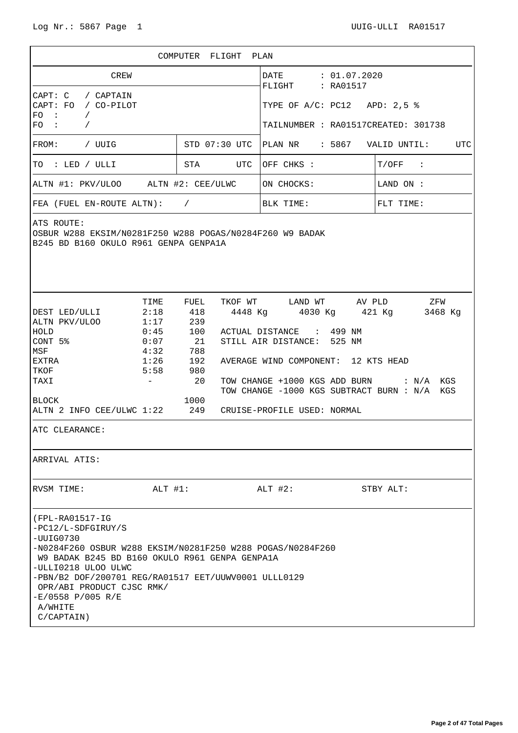|                                                                                                                                                                                                                                                                                                                                       |                                                                        | COMPUTER FLIGHT                                                    |                                       | PLAN                                                                                                                         |           |                                                                                                                                                            |  |  |  |
|---------------------------------------------------------------------------------------------------------------------------------------------------------------------------------------------------------------------------------------------------------------------------------------------------------------------------------------|------------------------------------------------------------------------|--------------------------------------------------------------------|---------------------------------------|------------------------------------------------------------------------------------------------------------------------------|-----------|------------------------------------------------------------------------------------------------------------------------------------------------------------|--|--|--|
| CREW                                                                                                                                                                                                                                                                                                                                  |                                                                        |                                                                    |                                       | DATE : 01.07.2020<br>FLIGHT : RA01517                                                                                        |           |                                                                                                                                                            |  |  |  |
| CAPT: C<br>/ CAPTAIN<br>CAPT: FO<br>/ CO-PILOT<br>FO.<br>$\sim$ 100<br>$\sqrt{2}$                                                                                                                                                                                                                                                     |                                                                        |                                                                    |                                       | TYPE OF $A/C$ : PC12 APD: 2,5 %                                                                                              |           |                                                                                                                                                            |  |  |  |
| $FO$ :<br>$\sqrt{2}$                                                                                                                                                                                                                                                                                                                  |                                                                        |                                                                    |                                       | TAILNUMBER : RA01517CREATED: 301738                                                                                          |           |                                                                                                                                                            |  |  |  |
| STD 07:30 UTC<br>FROM:<br>/ UUIG                                                                                                                                                                                                                                                                                                      |                                                                        |                                                                    | PLAN NR : 5867<br>VALID UNTIL:<br>UTC |                                                                                                                              |           |                                                                                                                                                            |  |  |  |
| TO : LED / ULLI                                                                                                                                                                                                                                                                                                                       |                                                                        | STA<br>UTC                                                         |                                       | OFF CHKS :                                                                                                                   |           | $T/OFF$ :                                                                                                                                                  |  |  |  |
| ALTN #1: PKV/ULOO ALTN #2: CEE/ULWC                                                                                                                                                                                                                                                                                                   |                                                                        |                                                                    | ON CHOCKS:                            |                                                                                                                              | LAND ON : |                                                                                                                                                            |  |  |  |
| FEA (FUEL EN-ROUTE ALTN): $/$                                                                                                                                                                                                                                                                                                         |                                                                        |                                                                    |                                       | BLK TIME:                                                                                                                    |           | FLT TIME:                                                                                                                                                  |  |  |  |
| OSBUR W288 EKSIM/N0281F250 W288 POGAS/N0284F260 W9 BADAK<br>B245 BD B160 OKULO R961 GENPA GENPA1A                                                                                                                                                                                                                                     |                                                                        |                                                                    |                                       |                                                                                                                              |           |                                                                                                                                                            |  |  |  |
| DEST LED/ULLI<br>ALTN PKV/ULOO<br>HOLD<br>CONT 5%<br>$\operatorname{\mathsf{MSF}}$<br>EXTRA<br>TKOF<br>TAXI<br><b>BLOCK</b><br>ALTN 2 INFO CEE/ULWC 1:22 249<br>ATC CLEARANCE:<br>ARRIVAL ATIS:                                                                                                                                       | TIME<br>2:18<br>1:17<br>0:45<br>0:07<br>4:32<br>1:26<br>5:58<br>$\sim$ | FUEL<br>418<br>239<br>100<br>21<br>788<br>192<br>980<br>20<br>1000 |                                       | ACTUAL DISTANCE : 499 NM<br>STILL AIR DISTANCE: 525 NM<br>AVERAGE WIND COMPONENT: 12 KTS HEAD<br>CRUISE-PROFILE USED: NORMAL |           | TKOF WT LAND WT AV PLD ZFW<br>4448 Kg  4030 Kg  421 Kg  3468 Kg<br>TOW CHANGE +1000 KGS ADD BURN : N/A KGS<br>TOW CHANGE -1000 KGS SUBTRACT BURN : N/A KGS |  |  |  |
| RVSM TIME:                                                                                                                                                                                                                                                                                                                            | ALT #1:                                                                |                                                                    |                                       | $ALT$ #2:                                                                                                                    |           | STBY ALT:                                                                                                                                                  |  |  |  |
| (FPL-RA01517-IG<br>-PC12/L-SDFGIRUY/S<br>$-UVIG0730$<br>-N0284F260 OSBUR W288 EKSIM/N0281F250 W288 POGAS/N0284F260<br>W9 BADAK B245 BD B160 OKULO R961 GENPA GENPA1A<br>-ULLI0218 ULOO ULWC<br>$-PBN/B2$ DOF/200701 REG/RA01517 EET/UUWV0001 ULLL0129<br>OPR/ABI PRODUCT CJSC RMK/<br>$-E/0558 P/005 R/E$<br>A/WHITE<br>$C/CAPTAIN$ ) |                                                                        |                                                                    |                                       |                                                                                                                              |           |                                                                                                                                                            |  |  |  |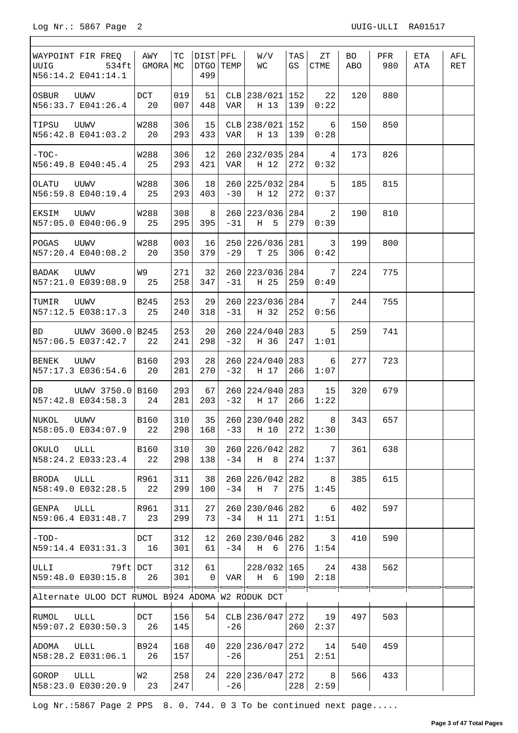$\Gamma$ 

٦

| WAYPOINT FIR FREQ<br>UUIG<br>534ft<br>N56:14.2 E041:14.1 | AWY<br>GMORA MC                                       | TC         | DIST PFL<br>DTGO TEMP<br>499 |                     | W/V<br>WС               | TAS<br>GS  | ZΤ<br><b>CTME</b> | BO.<br>ABO | PFR<br>980 | ETA<br>ATA | AFL<br>RET |
|----------------------------------------------------------|-------------------------------------------------------|------------|------------------------------|---------------------|-------------------------|------------|-------------------|------------|------------|------------|------------|
| UUWV<br>OSBUR<br>N56:33.7 E041:26.4                      | DCT<br>20                                             | 019<br>007 | 51<br>448                    | <b>VAR</b>          | CLB 238/021<br>H 13     | 152<br>139 | 22<br>0:22        | 120        | 880        |            |            |
| TIPSU<br>UUWV<br>N56:42.8 E041:03.2                      | W288<br>20                                            | 306<br>293 | 15<br>433                    | VAR                 | CLB 238/021<br>H 13     | 152<br>139 | 6<br>0:28         | 150        | 850        |            |            |
| $-TOC-$<br>N56:49.8 E040:45.4                            | W288<br>25                                            | 306<br>293 | 12<br>421                    | VAR                 | 260 232/035 284<br>H 12 | 272        | 4<br>0:32         | 173        | 826        |            |            |
| OLATU<br>UUWV<br>N56:59.8 E040:19.4                      | W288<br>25                                            | 306<br>293 | 18<br>403                    | $-30$               | 260 225/032<br>H 12     | 284<br>272 | 5<br>0:37         | 185        | 815        |            |            |
| EKSIM<br>UUWV<br>N57:05.0 E040:06.9                      | <b>W288</b><br>25                                     | 308<br>295 | 8<br>395                     | $-31$               | 260 223/036<br>H 5      | 284<br>279 | 2<br>0:39         | 190        | 810        |            |            |
| POGAS<br>UUWV<br>N57:20.4 E040:08.2                      | W288<br>20                                            | 003<br>350 | 16<br>379                    | $-29$               | 250 226/036 281<br>T 25 | 306        | 3<br>0:42         | 199        | 800        |            |            |
| BADAK<br>UUWV<br>N57:21.0 E039:08.9                      | W9<br>25                                              | 271<br>258 | 32<br>347                    | $-31$               | 260 223/036<br>H 25     | 284<br>259 | 7<br>0:49         | 224        | 775        |            |            |
| TUMIR<br>UUWV<br>N57:12.5 E038:17.3                      | <b>B245</b><br>25                                     | 253<br>240 | 29<br>318                    | $-31$               | 260 223/036<br>H 32     | 284<br>252 | 7<br>0:56         | 244        | 755        |            |            |
| UUWV 3600.0 B245<br>BD<br>N57:06.5 E037:42.7             | 22                                                    | 253<br>241 | 20<br>298                    | $-32$               | 260 224/040<br>H 36     | 283<br>247 | 5<br>1:01         | 259        | 741        |            |            |
| UUWV<br>BENEK<br>N57:17.3 E036:54.6                      | <b>B160</b><br>20                                     | 293<br>281 | 28<br>270                    | $-32$               | 260 224/040<br>H 17     | 283<br>266 | 6<br>1:07         | 277        | 723        |            |            |
| DB UUWV 3750.0 B160<br>N57:42.8 E034:58.3                | 24                                                    | 293<br>281 | 67<br>203                    | $-32$               | 260 224/040<br>H 17     | 283<br>266 | 15<br>1:22        | 320        | 679        |            |            |
| NUKOL<br>UUWV<br>N58:05.0 E034:07.9                      | B160<br>22                                            | 310<br>298 | 35<br>168                    | $-33$               | 260 230/040 282<br>H 10 | 272        | 8<br>1:30         | 343        | 657        |            |            |
| OKULO<br>ULLL<br>N58:24.2 E033:23.4                      | <b>B160</b><br>22                                     | 310<br>298 | 30<br>138                    | 260<br>$-34$        | 226/042<br>H 8          | 282<br>274 | 7<br>1:37         | 361        | 638        |            |            |
| BRODA<br>ULLL<br>N58:49.0 E032:28.5                      | R961<br>22                                            | 311<br>299 | 38<br>100                    | $-34$               | 260 226/042<br>H<br>7   | 282<br>275 | 8<br>1:45         | 385        | 615        |            |            |
| GENPA<br>ULLL<br>N59:06.4 E031:48.7                      | R961<br>23                                            | 311<br>299 | 27<br>73                     | 260<br>$-34$        | 230/046<br>H 11         | 282<br>271 | 6<br>1:51         | 402        | 597        |            |            |
| $-TOD-$<br>N59:14.4 E031:31.3                            | DCT<br>16                                             | 312<br>301 | 12<br>61                     | 260<br>$-34$        | 230/046<br>H 6          | 282<br>276 | 3<br>1:54         | 410        | 590        |            |            |
| ULLI<br>79ft DCT<br>N59:48.0 E030:15.8                   | 26                                                    | 312<br>301 | 61<br>$\mathbf{0}$           | VAR                 | 228/032 165<br>H 6      | 190        | 24<br>2:18        | 438        | 562        |            |            |
| Alternate ULOO DCT RUMOL B924 ADOMA W2 RODUK DCT         |                                                       |            |                              |                     |                         |            |                   |            |            |            |            |
| ULLL<br>RUMOL<br>N59:07.2 E030:50.3                      | DCT<br>26                                             | 156<br>145 | 54                           | <b>CLB</b><br>$-26$ | 236/047                 | 272<br>260 | 19<br>2:37        | 497        | 503        |            |            |
| ADOMA<br>ULLL<br>N58:28.2 E031:06.1                      | B924<br>26                                            | 168<br>157 | 40                           | $-26$               | 220 236/047             | 272<br>251 | 14<br>2:51        | 540        | 459        |            |            |
| GOROP<br>ULLL<br>N58:23.0 E030:20.9                      | W <sub>2</sub><br>$\begin{array}{ccc} \end{array}$ 23 | 258<br>247 | 24                           | $-26$               | 220 236/047             | 272<br>228 | 8<br>2:59         | 566        | 433        |            |            |

Log Nr.:5867 Page 2 PPS 8. 0. 744. 0 3 To be continued next page.....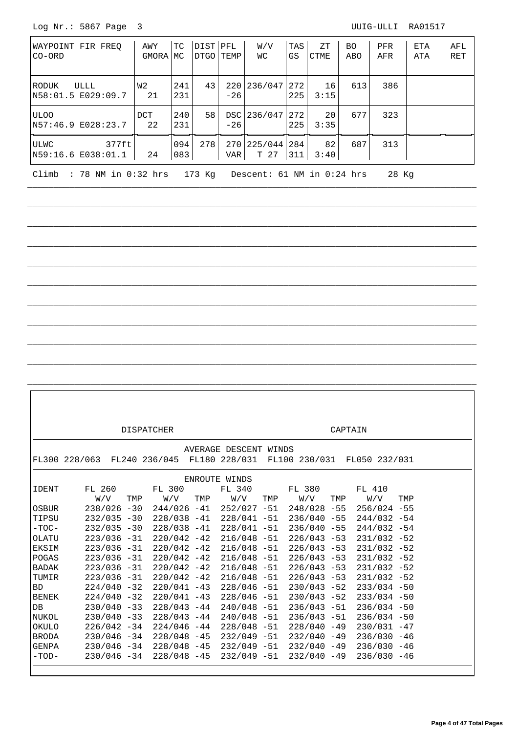Log Nr.: 5867 Page 3 UUIG-ULLI RA01517

| WAYPOINT FIR FREO<br>$CO-ORD$                                                 | AWY<br>GMORA MC  | ТC         | DISTIPFL<br>DTGO TEMP |       | W/V<br>WС               | TAS<br>GS | ZΤ<br><b>CTME</b> | BO.<br>ABO | <b>PFR</b><br>AFR | ETA<br>ATA | AFL<br><b>RET</b> |
|-------------------------------------------------------------------------------|------------------|------------|-----------------------|-------|-------------------------|-----------|-------------------|------------|-------------------|------------|-------------------|
| ULLL<br>RODUK<br>N58:01.5 E029:09.7                                           | W2<br>21         | 241<br>231 | 43                    | $-26$ | 220 236/047 272         | 225       | 16<br>3:15        | 613        | 386               |            |                   |
| <b>ULOO</b><br>N57:46.9 E028:23.7                                             | <b>DCT</b><br>22 | 240<br>231 | 58                    | $-26$ | DSC 236/047 272         | 225       | 20<br>3:35        | 677        | 323               |            |                   |
| 377ft<br>ULWC<br>N59:16.6 E038:01.1                                           | 24               | 094<br>083 | 278                   | VAR   | 270 225/044 284<br>T 27 | 311       | 82<br>3:40        | 687        | 313               |            |                   |
| 173 Ka<br>Climb<br>: 78 NM in 0:32 hrs<br>Descent: 61 NM in 0:24 hrs<br>28 Kg |                  |            |                       |       |                         |           |                   |            |                   |            |                   |

\_\_\_\_\_\_\_\_\_\_\_\_\_\_\_\_\_\_\_\_\_\_\_\_\_\_\_\_\_\_\_\_\_\_\_\_\_\_\_\_\_\_\_\_\_\_\_\_\_\_\_\_\_\_\_\_\_\_\_\_\_\_\_\_\_\_\_\_\_\_\_\_\_\_\_\_\_\_\_\_\_\_\_\_\_\_

 $\frac{1}{2}$  , and the set of the set of the set of the set of the set of the set of the set of the set of the set of the set of the set of the set of the set of the set of the set of the set of the set of the set of the set

 $\frac{1}{2}$  , and the set of the set of the set of the set of the set of the set of the set of the set of the set of the set of the set of the set of the set of the set of the set of the set of the set of the set of the set

 $\frac{1}{2}$  , and the set of the set of the set of the set of the set of the set of the set of the set of the set of the set of the set of the set of the set of the set of the set of the set of the set of the set of the set

 $\frac{1}{2}$  , and the set of the set of the set of the set of the set of the set of the set of the set of the set of the set of the set of the set of the set of the set of the set of the set of the set of the set of the set

 $\frac{1}{2}$  , and the set of the set of the set of the set of the set of the set of the set of the set of the set of the set of the set of the set of the set of the set of the set of the set of the set of the set of the set

 $\frac{1}{2}$  , and the set of the set of the set of the set of the set of the set of the set of the set of the set of the set of the set of the set of the set of the set of the set of the set of the set of the set of the set

\_\_\_\_\_\_\_\_\_\_\_\_\_\_\_\_\_\_\_\_\_\_\_\_\_\_\_\_\_\_\_\_\_\_\_\_\_\_\_\_\_\_\_\_\_\_\_\_\_\_\_\_\_\_\_\_\_\_\_\_\_\_\_\_\_\_\_\_\_\_\_\_\_\_\_\_\_\_\_\_\_\_\_\_\_\_

 $\frac{1}{2}$  , and the set of the set of the set of the set of the set of the set of the set of the set of the set of the set of the set of the set of the set of the set of the set of the set of the set of the set of the set

 $\frac{1}{2}$  , and the set of the set of the set of the set of the set of the set of the set of the set of the set of the set of the set of the set of the set of the set of the set of the set of the set of the set of the set

 $\frac{1}{2}$  , and the set of the set of the set of the set of the set of the set of the set of the set of the set of the set of the set of the set of the set of the set of the set of the set of the set of the set of the set

|              |                |     | <b>DISPATCHER</b>                                                     |     |                       |     |                | CAPTAIN |                               |     |
|--------------|----------------|-----|-----------------------------------------------------------------------|-----|-----------------------|-----|----------------|---------|-------------------------------|-----|
|              |                |     |                                                                       |     |                       |     |                |         |                               |     |
|              |                |     |                                                                       |     | AVERAGE DESCENT WINDS |     |                |         |                               |     |
|              |                |     | FL300 228/063 FL240 236/045 FL180 228/031 FL100 230/031 FL050 232/031 |     |                       |     |                |         |                               |     |
|              |                |     |                                                                       |     |                       |     |                |         |                               |     |
|              |                |     |                                                                       |     | ENROUTE WINDS         |     |                |         |                               |     |
| <b>IDENT</b> | FL 260         |     | FL 300                                                                |     | FL 340                |     | FL 380         |         | FL 410                        |     |
|              | W/V            | TMP | W/V                                                                   | TMP | W/V                   | TMP | W/V            | TMP     | W/V                           | TMP |
| OSBUR        | $238/026 - 30$ |     | $244/026 - 41$                                                        |     | $252/027 - 51$        |     | 248/028 -55    |         | $256/024 - 55$                |     |
| TIPSU        | $232/035 - 30$ |     | 228/038 -41                                                           |     | $228/041 - 51$        |     |                |         | $236/040 - 55$ $244/032 - 54$ |     |
| $-TOC-$      | $232/035 - 30$ |     | $228/038 - 41$                                                        |     | $228/041 - 51$        |     | $236/040 - 55$ |         | $244/032 -54$                 |     |
| OLATU        | $223/036 - 31$ |     | $220/042 - 42$                                                        |     | $216/048 - 51$        |     | $226/043 - 53$ |         | $231/032 -52$                 |     |
| EKSIM        | $223/036 - 31$ |     | 220/042 -42                                                           |     | $216/048 - 51$        |     | $226/043 - 53$ |         | $231/032 -52$                 |     |
| POGAS        | $223/036 - 31$ |     | $220/042 - 42$                                                        |     | $216/048 - 51$        |     | $226/043 - 53$ |         | $231/032 -52$                 |     |
| BADAK        | $223/036 - 31$ |     | $220/042 - 42$                                                        |     | $216/048 - 51$        |     | $226/043 - 53$ |         | $231/032 -52$                 |     |
| TUMIR        | $223/036 - 31$ |     | $220/042 - 42$                                                        |     | $216/048 - 51$        |     | $226/043 - 53$ |         | $231/032 -52$                 |     |
| <b>BD</b>    | $224/040 - 32$ |     | 220/041 -43                                                           |     | $228/046 - 51$        |     | $230/043 - 52$ |         | $233/034 - 50$                |     |
| <b>BENEK</b> | $224/040 - 32$ |     | $220/041 - 43$                                                        |     | $228/046 - 51$        |     | $230/043 - 52$ |         | $233/034 - 50$                |     |
| DB           | $230/040 - 33$ |     | $228/043 - 44$                                                        |     | $240/048 - 51$        |     | $236/043 - 51$ |         | $236/034 - 50$                |     |
| NUKOL        | $230/040 - 33$ |     | $228/043 - 44$                                                        |     | $240/048 - 51$        |     | $236/043 - 51$ |         | $236/034 - 50$                |     |
| OKULO        | $226/042 - 34$ |     | $224/046 - 44$                                                        |     | $228/048 - 51$        |     | $228/040 - 49$ |         | $230/031 - 47$                |     |
| <b>BRODA</b> | $230/046 - 34$ |     | $228/048 - 45$                                                        |     | $232/049 - 51$        |     | $232/040 - 49$ |         | $236/030 - 46$                |     |
| GENPA        | $230/046 - 34$ |     | $228/048 - 45$                                                        |     | 232/049 -51           |     | $232/040 - 49$ |         | $236/030 - 46$                |     |
| $-TOD-$      |                |     | $230/046 - 34$ 228/048 -45                                            |     | 232/049 -51           |     | $232/040 - 49$ |         | $236/030 - 46$                |     |
|              |                |     |                                                                       |     |                       |     |                |         |                               |     |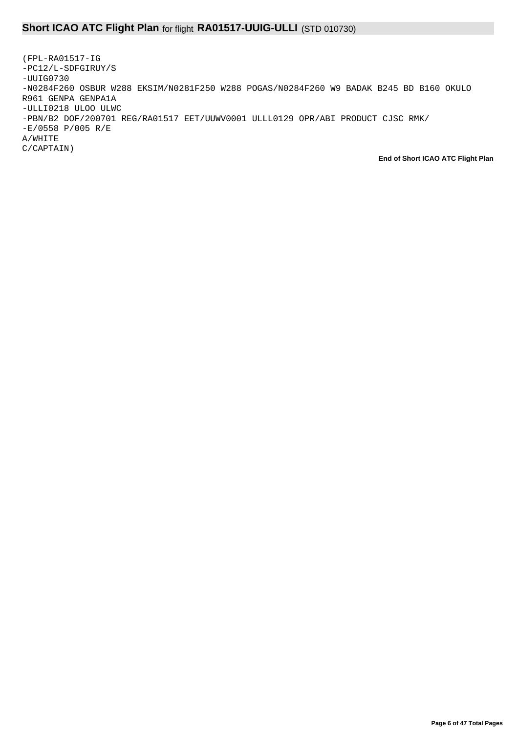## **Short ICAO ATC Flight Plan** for flight **RA01517-UUIG-ULLI** (STD 010730)

(FPL-RA01517-IG -PC12/L-SDFGIRUY/S -UUIG0730 -N0284F260 OSBUR W288 EKSIM/N0281F250 W288 POGAS/N0284F260 W9 BADAK B245 BD B160 OKULO R961 GENPA GENPA1A -ULLI0218 ULOO ULWC -PBN/B2 DOF/200701 REG/RA01517 EET/UUWV0001 ULLL0129 OPR/ABI PRODUCT CJSC RMK/ -E/0558 P/005 R/E A/WHITE C/CAPTAIN)

**End of Short ICAO ATC Flight Plan**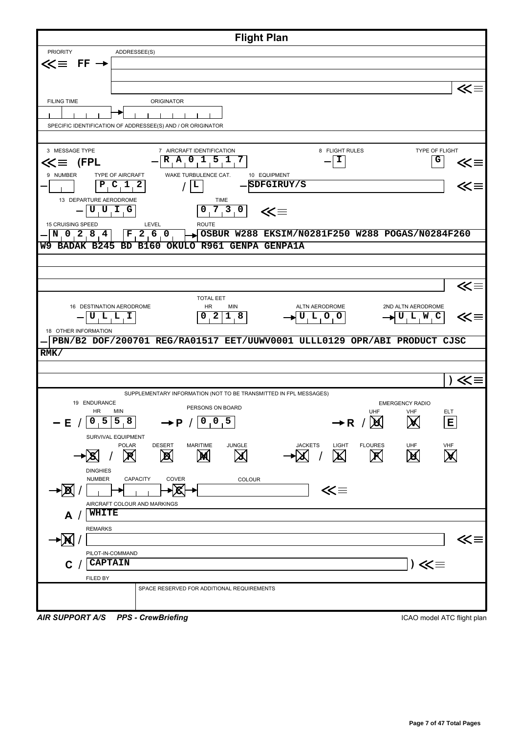| <b>Flight Plan</b>                                                                                                                                                                                 |              |
|----------------------------------------------------------------------------------------------------------------------------------------------------------------------------------------------------|--------------|
| ADDRESSEE(S)<br><b>PRIORITY</b>                                                                                                                                                                    |              |
| $FF \rightarrow$<br>≪≡                                                                                                                                                                             |              |
|                                                                                                                                                                                                    |              |
|                                                                                                                                                                                                    | ≪≡           |
| <b>FILING TIME</b><br>ORIGINATOR                                                                                                                                                                   |              |
|                                                                                                                                                                                                    |              |
| SPECIFIC IDENTIFICATION OF ADDRESSEE(S) AND / OR ORIGINATOR                                                                                                                                        |              |
|                                                                                                                                                                                                    |              |
| 3 MESSAGE TYPE<br>TYPE OF FLIGHT<br>7 AIRCRAFT IDENTIFICATION<br>8 FLIGHT RULES<br>$A$ 0 1<br>$\overline{5}$ . 1<br>7<br>I<br>R<br>G                                                               |              |
| $\textsf{K} \equiv \textsf{FPL}$                                                                                                                                                                   |              |
| WAKE TURBULENCE CAT.<br>9 NUMBER<br>TYPE OF AIRCRAFT<br>10 EQUIPMENT<br>SDFGIRUY/S<br>C <sub>1</sub><br>2<br>Р<br>L                                                                                | ≪≡<br>≪≡     |
|                                                                                                                                                                                                    |              |
| 13 DEPARTURE AERODROME<br><b>TIME</b><br>0, 7, 3, 0<br>UUIG<br>≪≡                                                                                                                                  |              |
| <b>ROUTE</b><br>15 CRUISING SPEED<br>LEVEL                                                                                                                                                         |              |
| 2,6,0<br>OSBUR W288 EKSIM/N0281F250 W288 POGAS/N0284F260<br>N 0 2 8 4<br>F                                                                                                                         |              |
| OKULO R961 GENPA GENPA1A<br>W9 BADAK B245<br><b>BD</b><br>B160                                                                                                                                     |              |
|                                                                                                                                                                                                    |              |
|                                                                                                                                                                                                    |              |
|                                                                                                                                                                                                    | $\ll \equiv$ |
| <b>TOTAL EET</b>                                                                                                                                                                                   |              |
| 16 DESTINATION AERODROME<br>HR<br>MIN<br>ALTN AERODROME<br>2ND ALTN AERODROME                                                                                                                      |              |
| ULLI<br>2<br>8<br>$L$ 0 0<br>0<br>1<br>U<br>U, L, W<br>C                                                                                                                                           | $\ll\equiv$  |
| 18 OTHER INFORMATION<br>PBN/B2 DOF/200701 REG/RA01517 EET/UUWV0001 ULLL0129 OPR/ABI PRODUCT CJSC                                                                                                   |              |
| RMK/                                                                                                                                                                                               |              |
|                                                                                                                                                                                                    |              |
|                                                                                                                                                                                                    | ) ≪≡         |
| SUPPLEMENTARY INFORMATION (NOT TO BE TRANSMITTED IN FPL MESSAGES)                                                                                                                                  |              |
| 19 ENDURANCE<br><b>EMERGENCY RADIO</b>                                                                                                                                                             |              |
| PERSONS ON BOARD<br>HR<br>MIN<br><b>UHF</b><br>VHF<br><b>ELT</b>                                                                                                                                   |              |
| 0, 0, 5<br>0, 5   5, 8<br>E<br>$\rightarrow$ P /<br>IЖ<br>– E<br>$\rightarrow$ R $/$<br><b>M</b>                                                                                                   |              |
| SURVIVAL EQUIPMENT<br><b>JUNGLE</b>                                                                                                                                                                |              |
| <b>POLAR</b><br><b>DESERT</b><br><b>MARITIME</b><br><b>JACKETS</b><br><b>LIGHT</b><br><b>FLOURES</b><br>UHF<br>VHF<br>$\cancel{\mathsf{X}}$<br>M<br>R<br>圆<br>M<br>X<br>$ \mathbf{X} $<br><b>X</b> |              |
| <b>DINGHIES</b>                                                                                                                                                                                    |              |
| <b>NUMBER</b><br>CAPACITY<br>COVER<br>COLOUR                                                                                                                                                       |              |
| ∤≪<br>≪≡<br>R                                                                                                                                                                                      |              |
| AIRCRAFT COLOUR AND MARKINGS                                                                                                                                                                       |              |
| WHITE<br>A                                                                                                                                                                                         |              |
| <b>REMARKS</b>                                                                                                                                                                                     |              |
|                                                                                                                                                                                                    | ⋘            |
| PILOT-IN-COMMAND                                                                                                                                                                                   |              |
| ) ≪≡<br><b>CAPTAIN</b><br>C.                                                                                                                                                                       |              |
| FILED BY                                                                                                                                                                                           |              |
| SPACE RESERVED FOR ADDITIONAL REQUIREMENTS                                                                                                                                                         |              |
|                                                                                                                                                                                                    |              |
| <b>PPS - CrewBriefing</b><br><b>AIR SUPPORT A/S</b><br>ICAO model ATC flight plan                                                                                                                  |              |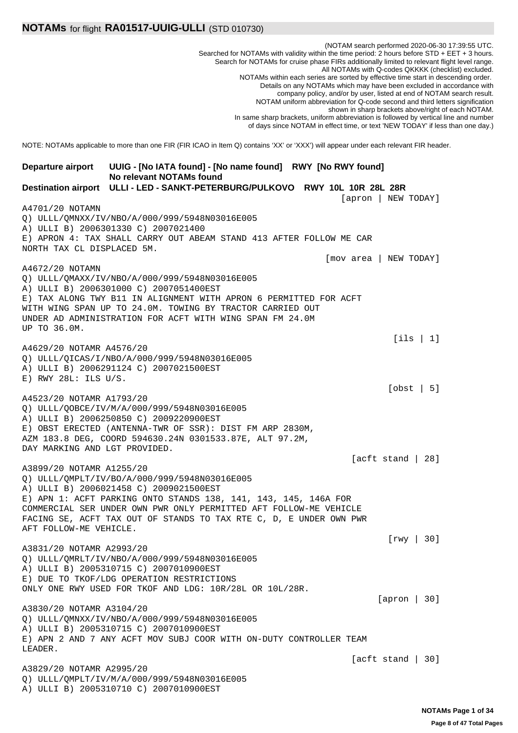(NOTAM search performed 2020-06-30 17:39:55 UTC. Searched for NOTAMs with validity within the time period: 2 hours before STD + EET + 3 hours. Search for NOTAMs for cruise phase FIRs additionally limited to relevant flight level range. All NOTAMs with Q-codes QKKKK (checklist) excluded. NOTAMs within each series are sorted by effective time start in descending order. Details on any NOTAMs which may have been excluded in accordance with company policy, and/or by user, listed at end of NOTAM search result. NOTAM uniform abbreviation for Q-code second and third letters signification shown in sharp brackets above/right of each NOTAM. In same sharp brackets, uniform abbreviation is followed by vertical line and number of days since NOTAM in effect time, or text 'NEW TODAY' if less than one day.) NOTE: NOTAMs applicable to more than one FIR (FIR ICAO in Item Q) contains 'XX' or 'XXX') will appear under each relevant FIR header. **UUIG - [No IATA found] - [No name found] RWY [No RWY found] No relevant NOTAMs found Departure airport Destination airport ULLI - LED - SANKT-PETERBURG/PULKOVO RWY 10L 10R 28L 28R** [apron | NEW TODAY] A4701/20 NOTAMN Q) ULLL/QMNXX/IV/NBO/A/000/999/5948N03016E005 A) ULLI B) 2006301330 C) 2007021400 E) APRON 4: TAX SHALL CARRY OUT ABEAM STAND 413 AFTER FOLLOW ME CAR NORTH TAX CL DISPLACED 5M. [mov area | NEW TODAY] A4672/20 NOTAMN Q) ULLL/QMAXX/IV/NBO/A/000/999/5948N03016E005 A) ULLI B) 2006301000 C) 2007051400EST E) TAX ALONG TWY B11 IN ALIGNMENT WITH APRON 6 PERMITTED FOR ACFT WITH WING SPAN UP TO 24.0M. TOWING BY TRACTOR CARRIED OUT UNDER AD ADMINISTRATION FOR ACFT WITH WING SPAN FM 24.0M UP TO 36.0M. [ils | 1] A4629/20 NOTAMR A4576/20 Q) ULLL/QICAS/I/NBO/A/000/999/5948N03016E005 A) ULLI B) 2006291124 C) 2007021500EST E) RWY 28L: ILS U/S. [obst | 5] A4523/20 NOTAMR A1793/20 Q) ULLL/QOBCE/IV/M/A/000/999/5948N03016E005 A) ULLI B) 2006250850 C) 2009220900EST E) OBST ERECTED (ANTENNA-TWR OF SSR): DIST FM ARP 2830M, AZM 183.8 DEG, COORD 594630.24N 0301533.87E, ALT 97.2M, DAY MARKING AND LGT PROVIDED. [acft stand | 28] A3899/20 NOTAMR A1255/20 Q) ULLL/QMPLT/IV/BO/A/000/999/5948N03016E005 A) ULLI B) 2006021458 C) 2009021500EST E) APN 1: ACFT PARKING ONTO STANDS 138, 141, 143, 145, 146A FOR COMMERCIAL SER UNDER OWN PWR ONLY PERMITTED AFT FOLLOW-ME VEHICLE FACING SE, ACFT TAX OUT OF STANDS TO TAX RTE C, D, E UNDER OWN PWR AFT FOLLOW-ME VEHICLE. [rwy | 30] A3831/20 NOTAMR A2993/20 Q) ULLL/QMRLT/IV/NBO/A/000/999/5948N03016E005 A) ULLI B) 2005310715 C) 2007010900EST E) DUE TO TKOF/LDG OPERATION RESTRICTIONS ONLY ONE RWY USED FOR TKOF AND LDG: 10R/28L OR 10L/28R. [apron | 30] A3830/20 NOTAMR A3104/20 Q) ULLL/QMNXX/IV/NBO/A/000/999/5948N03016E005 A) ULLI B) 2005310715 C) 2007010900EST E) APN 2 AND 7 ANY ACFT MOV SUBJ COOR WITH ON-DUTY CONTROLLER TEAM LEADER. [acft stand | 30] A3829/20 NOTAMR A2995/20 Q) ULLL/QMPLT/IV/M/A/000/999/5948N03016E005 A) ULLI B) 2005310710 C) 2007010900EST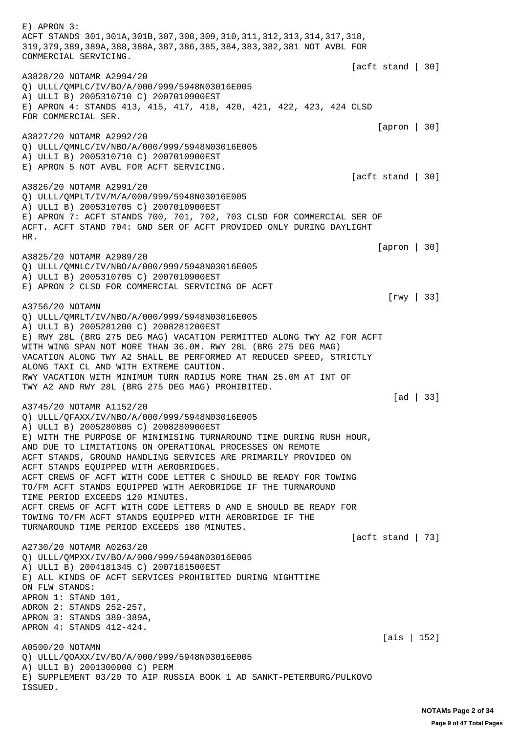E) APRON 3: ACFT STANDS 301,301A,301B,307,308,309,310,311,312,313,314,317,318, 319,379,389,389A,388,388A,387,386,385,384,383,382,381 NOT AVBL FOR COMMERCIAL SERVICING. [acft stand | 30] A3828/20 NOTAMR A2994/20 Q) ULLL/QMPLC/IV/BO/A/000/999/5948N03016E005 A) ULLI B) 2005310710 C) 2007010900EST E) APRON 4: STANDS 413, 415, 417, 418, 420, 421, 422, 423, 424 CLSD FOR COMMERCIAL SER. [apron | 30] A3827/20 NOTAMR A2992/20 Q) ULLL/QMNLC/IV/NBO/A/000/999/5948N03016E005 A) ULLI B) 2005310710 C) 2007010900EST E) APRON 5 NOT AVBL FOR ACFT SERVICING. [acft stand | 30] A3826/20 NOTAMR A2991/20 Q) ULLL/QMPLT/IV/M/A/000/999/5948N03016E005 A) ULLI B) 2005310705 C) 2007010900EST E) APRON 7: ACFT STANDS 700, 701, 702, 703 CLSD FOR COMMERCIAL SER OF ACFT. ACFT STAND 704: GND SER OF ACFT PROVIDED ONLY DURING DAYLIGHT HR. [apron | 30] A3825/20 NOTAMR A2989/20 Q) ULLL/QMNLC/IV/NBO/A/000/999/5948N03016E005 A) ULLI B) 2005310705 C) 2007010900EST E) APRON 2 CLSD FOR COMMERCIAL SERVICING OF ACFT [rwy | 33] A3756/20 NOTAMN Q) ULLL/QMRLT/IV/NBO/A/000/999/5948N03016E005 A) ULLI B) 2005281200 C) 2008281200EST E) RWY 28L (BRG 275 DEG MAG) VACATION PERMITTED ALONG TWY A2 FOR ACFT WITH WING SPAN NOT MORE THAN 36.0M. RWY 28L (BRG 275 DEG MAG) VACATION ALONG TWY A2 SHALL BE PERFORMED AT REDUCED SPEED, STRICTLY ALONG TAXI CL AND WITH EXTREME CAUTION. RWY VACATION WITH MINIMUM TURN RADIUS MORE THAN 25.0M AT INT OF TWY A2 AND RWY 28L (BRG 275 DEG MAG) PROHIBITED. [ad | 33] A3745/20 NOTAMR A1152/20 Q) ULLL/QFAXX/IV/NBO/A/000/999/5948N03016E005 A) ULLI B) 2005280805 C) 2008280900EST E) WITH THE PURPOSE OF MINIMISING TURNAROUND TIME DURING RUSH HOUR, AND DUE TO LIMITATIONS ON OPERATIONAL PROCESSES ON REMOTE ACFT STANDS, GROUND HANDLING SERVICES ARE PRIMARILY PROVIDED ON ACFT STANDS EQUIPPED WITH AEROBRIDGES. ACFT CREWS OF ACFT WITH CODE LETTER C SHOULD BE READY FOR TOWING TO/FM ACFT STANDS EQUIPPED WITH AEROBRIDGE IF THE TURNAROUND TIME PERIOD EXCEEDS 120 MINUTES. ACFT CREWS OF ACFT WITH CODE LETTERS D AND E SHOULD BE READY FOR TOWING TO/FM ACFT STANDS EQUIPPED WITH AEROBRIDGE IF THE TURNAROUND TIME PERIOD EXCEEDS 180 MINUTES. [acft stand | 73] A2730/20 NOTAMR A0263/20 Q) ULLL/QMPXX/IV/BO/A/000/999/5948N03016E005 A) ULLI B) 2004181345 C) 2007181500EST E) ALL KINDS OF ACFT SERVICES PROHIBITED DURING NIGHTTIME ON FLW STANDS: APRON 1: STAND 101, ADRON 2: STANDS 252-257, APRON 3: STANDS 380-389A, APRON 4: STANDS 412-424. [ais | 152] A0500/20 NOTAMN Q) ULLL/QOAXX/IV/BO/A/000/999/5948N03016E005 A) ULLI B) 2001300000 C) PERM E) SUPPLEMENT 03/20 TO AIP RUSSIA BOOK 1 AD SANKT-PETERBURG/PULKOVO ISSUED.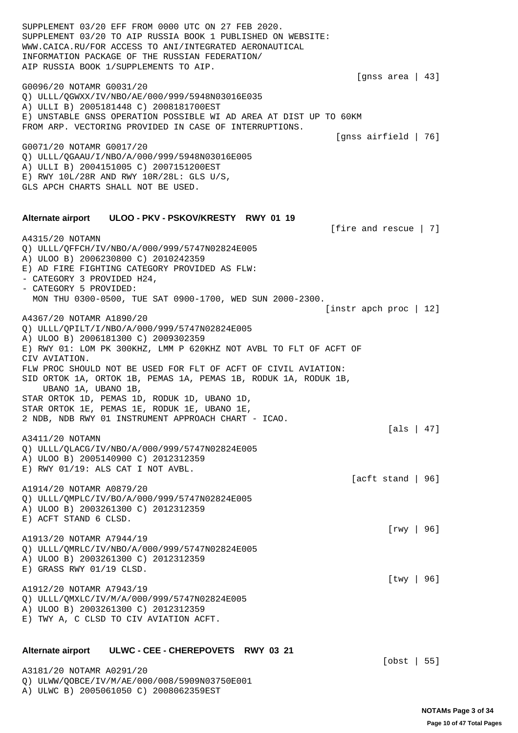SUPPLEMENT 03/20 EFF FROM 0000 UTC ON 27 FEB 2020. SUPPLEMENT 03/20 TO AIP RUSSIA BOOK 1 PUBLISHED ON WEBSITE: WWW.CAICA.RU/FOR ACCESS TO ANI/INTEGRATED AERONAUTICAL INFORMATION PACKAGE OF THE RUSSIAN FEDERATION/ AIP RUSSIA BOOK 1/SUPPLEMENTS TO AIP. [gnss area | 43] G0096/20 NOTAMR G0031/20 Q) ULLL/QGWXX/IV/NBO/AE/000/999/5948N03016E035 A) ULLI B) 2005181448 C) 2008181700EST E) UNSTABLE GNSS OPERATION POSSIBLE WI AD AREA AT DIST UP TO 60KM FROM ARP. VECTORING PROVIDED IN CASE OF INTERRUPTIONS. [gnss airfield | 76] G0071/20 NOTAMR G0017/20 Q) ULLL/QGAAU/I/NBO/A/000/999/5948N03016E005 A) ULLI B) 2004151005 C) 2007151200EST E) RWY 10L/28R AND RWY 10R/28L: GLS U/S, GLS APCH CHARTS SHALL NOT BE USED. **Alternate airport ULOO - PKV - PSKOV/KRESTY RWY 01 19** [fire and rescue | 7] A4315/20 NOTAMN Q) ULLL/QFFCH/IV/NBO/A/000/999/5747N02824E005 A) ULOO B) 2006230800 C) 2010242359 E) AD FIRE FIGHTING CATEGORY PROVIDED AS FLW: - CATEGORY 3 PROVIDED H24, - CATEGORY 5 PROVIDED: MON THU 0300-0500, TUE SAT 0900-1700, WED SUN 2000-2300. [instr apch proc | 12] A4367/20 NOTAMR A1890/20 Q) ULLL/QPILT/I/NBO/A/000/999/5747N02824E005 A) ULOO B) 2006181300 C) 2009302359 E) RWY 01: LOM PK 300KHZ, LMM P 620KHZ NOT AVBL TO FLT OF ACFT OF CIV AVIATION. FLW PROC SHOULD NOT BE USED FOR FLT OF ACFT OF CIVIL AVIATION: SID ORTOK 1A, ORTOK 1B, PEMAS 1A, PEMAS 1B, RODUK 1A, RODUK 1B, UBANO 1A, UBANO 1B, STAR ORTOK 1D, PEMAS 1D, RODUK 1D, UBANO 1D, STAR ORTOK 1E, PEMAS 1E, RODUK 1E, UBANO 1E, 2 NDB, NDB RWY 01 INSTRUMENT APPROACH CHART - ICAO. [als | 47] A3411/20 NOTAMN Q) ULLL/QLACG/IV/NBO/A/000/999/5747N02824E005 A) ULOO B) 2005140900 C) 2012312359 E) RWY 01/19: ALS CAT I NOT AVBL. [acft stand | 96] A1914/20 NOTAMR A0879/20 Q) ULLL/QMPLC/IV/BO/A/000/999/5747N02824E005 A) ULOO B) 2003261300 C) 2012312359 E) ACFT STAND 6 CLSD. [rwy | 96] A1913/20 NOTAMR A7944/19 Q) ULLL/QMRLC/IV/NBO/A/000/999/5747N02824E005 A) ULOO B) 2003261300 C) 2012312359 E) GRASS RWY 01/19 CLSD. [twy | 96] A1912/20 NOTAMR A7943/19 Q) ULLL/QMXLC/IV/M/A/000/999/5747N02824E005 A) ULOO B) 2003261300 C) 2012312359 E) TWY A, C CLSD TO CIV AVIATION ACFT. **Alternate airport ULWC - CEE - CHEREPOVETS RWY 03 21**

A3181/20 NOTAMR A0291/20 Q) ULWW/QOBCE/IV/M/AE/000/008/5909N03750E001 A) ULWC B) 2005061050 C) 2008062359EST

[obst | 55]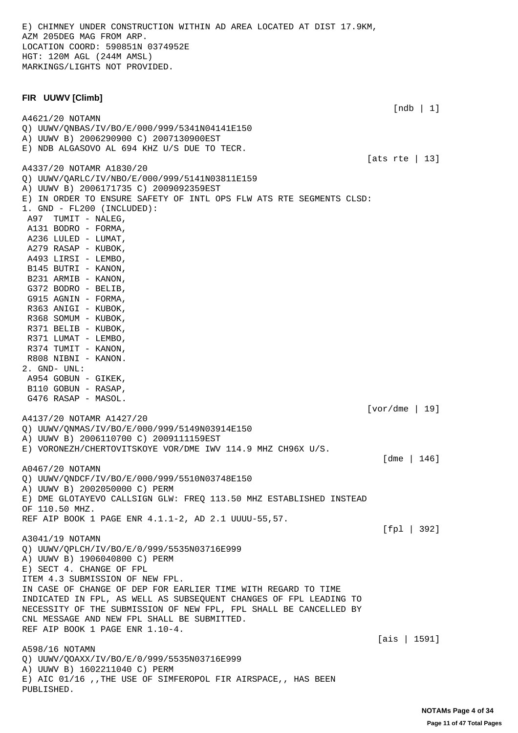E) CHIMNEY UNDER CONSTRUCTION WITHIN AD AREA LOCATED AT DIST 17.9KM, AZM 205DEG MAG FROM ARP. LOCATION COORD: 590851N 0374952E HGT: 120M AGL (244M AMSL) MARKINGS/LIGHTS NOT PROVIDED.

## **FIR UUWV [Climb]**

PUBLISHED.

 [ndb | 1] A4621/20 NOTAMN Q) UUWV/QNBAS/IV/BO/E/000/999/5341N04141E150 A) UUWV B) 2006290900 C) 2007130900EST E) NDB ALGASOVO AL 694 KHZ U/S DUE TO TECR. [ats rte | 13] A4337/20 NOTAMR A1830/20 Q) UUWV/QARLC/IV/NBO/E/000/999/5141N03811E159 A) UUWV B) 2006171735 C) 2009092359EST E) IN ORDER TO ENSURE SAFETY OF INTL OPS FLW ATS RTE SEGMENTS CLSD: 1. GND - FL200 (INCLUDED): A97 TUMIT - NALEG, A131 BODRO - FORMA, A236 LULED - LUMAT, A279 RASAP - KUBOK, A493 LIRSI - LEMBO, B145 BUTRI - KANON, B231 ARMIB - KANON, G372 BODRO - BELIB, G915 AGNIN - FORMA, R363 ANIGI - KUBOK, R368 SOMUM - KUBOK, R371 BELIB - KUBOK, R371 LUMAT - LEMBO, R374 TUMIT - KANON, R808 NIBNI - KANON. 2. GND- UNL: A954 GOBUN - GIKEK, B110 GOBUN - RASAP, G476 RASAP - MASOL. [vor/dme | 19] A4137/20 NOTAMR A1427/20 Q) UUWV/QNMAS/IV/BO/E/000/999/5149N03914E150 A) UUWV B) 2006110700 C) 2009111159EST E) VORONEZH/CHERTOVITSKOYE VOR/DME IWV 114.9 MHZ CH96X U/S. [dme | 146] A0467/20 NOTAMN Q) UUWV/QNDCF/IV/BO/E/000/999/5510N03748E150 A) UUWV B) 2002050000 C) PERM E) DME GLOTAYEVO CALLSIGN GLW: FREQ 113.50 MHZ ESTABLISHED INSTEAD OF 110.50 MHZ. REF AIP BOOK 1 PAGE ENR 4.1.1-2, AD 2.1 UUUU-55,57. [fpl | 392] A3041/19 NOTAMN Q) UUWV/QPLCH/IV/BO/E/0/999/5535N03716E999 A) UUWV B) 1906040800 C) PERM E) SECT 4. CHANGE OF FPL ITEM 4.3 SUBMISSION OF NEW FPL. IN CASE OF CHANGE OF DEP FOR EARLIER TIME WITH REGARD TO TIME INDICATED IN FPL, AS WELL AS SUBSEQUENT CHANGES OF FPL LEADING TO NECESSITY OF THE SUBMISSION OF NEW FPL, FPL SHALL BE CANCELLED BY CNL MESSAGE AND NEW FPL SHALL BE SUBMITTED. REF AIP BOOK 1 PAGE ENR 1.10-4. [ais | 1591] A598/16 NOTAMN Q) UUWV/QOAXX/IV/BO/E/0/999/5535N03716E999 A) UUWV B) 1602211040 C) PERM E) AIC 01/16 ,,THE USE OF SIMFEROPOL FIR AIRSPACE,, HAS BEEN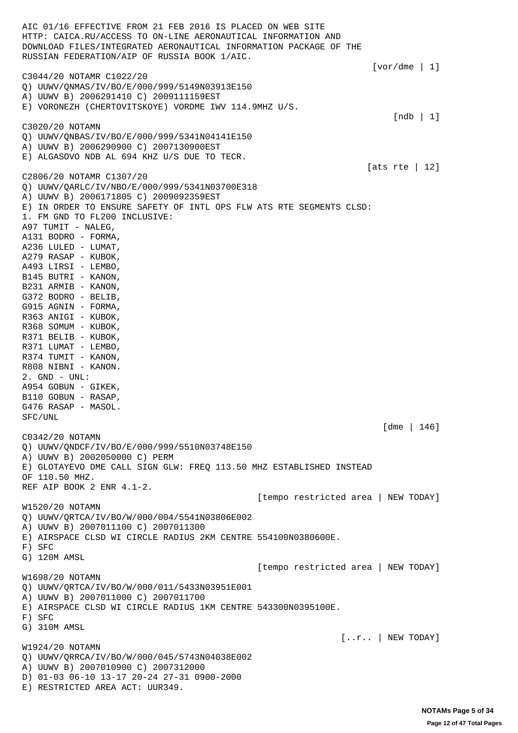AIC 01/16 EFFECTIVE FROM 21 FEB 2016 IS PLACED ON WEB SITE HTTP: CAICA.RU/ACCESS TO ON-LINE AERONAUTICAL INFORMATION AND DOWNLOAD FILES/INTEGRATED AERONAUTICAL INFORMATION PACKAGE OF THE RUSSIAN FEDERATION/AIP OF RUSSIA BOOK 1/AIC.  $[vor/dme 1]$ C3044/20 NOTAMR C1022/20 Q) UUWV/QNMAS/IV/BO/E/000/999/5149N03913E150 A) UUWV B) 2006291410 C) 2009111159EST E) VORONEZH (CHERTOVITSKOYE) VORDME IWV 114.9MHZ U/S. [ndb | 1] C3020/20 NOTAMN Q) UUWV/QNBAS/IV/BO/E/000/999/5341N04141E150 A) UUWV B) 2006290900 C) 2007130900EST E) ALGASOVO NDB AL 694 KHZ U/S DUE TO TECR. [ats rte | 12] C2806/20 NOTAMR C1307/20 Q) UUWV/QARLC/IV/NBO/E/000/999/5341N03700E318 A) UUWV B) 2006171805 C) 2009092359EST E) IN ORDER TO ENSURE SAFETY OF INTL OPS FLW ATS RTE SEGMENTS CLSD: 1. FM GND TO FL200 INCLUSIVE: A97 TUMIT - NALEG, A131 BODRO - FORMA, A236 LULED - LUMAT, A279 RASAP - KUBOK, A493 LIRSI - LEMBO, B145 BUTRI - KANON, B231 ARMIB - KANON, G372 BODRO - BELIB, G915 AGNIN - FORMA, R363 ANIGI - KUBOK, R368 SOMUM - KUBOK, R371 BELIB - KUBOK, R371 LUMAT - LEMBO, R374 TUMIT - KANON, R808 NIBNI - KANON. 2. GND - UNL: A954 GOBUN - GIKEK, B110 GOBUN - RASAP, G476 RASAP - MASOL. SFC/UNL [dme | 146] C0342/20 NOTAMN Q) UUWV/QNDCF/IV/BO/E/000/999/5510N03748E150 A) UUWV B) 2002050000 C) PERM E) GLOTAYEVO DME CALL SIGN GLW: FREQ 113.50 MHZ ESTABLISHED INSTEAD OF 110.50 MHZ. REF AIP BOOK 2 ENR 4.1-2. [tempo restricted area | NEW TODAY] W1520/20 NOTAMN Q) UUWV/QRTCA/IV/BO/W/000/004/5541N03806E002 A) UUWV B) 2007011100 C) 2007011300 E) AIRSPACE CLSD WI CIRCLE RADIUS 2KM CENTRE 554100N0380600E. F) SFC G) 120M AMSL [tempo restricted area | NEW TODAY] W1698/20 NOTAMN Q) UUWV/QRTCA/IV/BO/W/000/011/5433N03951E001 A) UUWV B) 2007011000 C) 2007011700 E) AIRSPACE CLSD WI CIRCLE RADIUS 1KM CENTRE 543300N0395100E. F) SFC G) 310M AMSL  $[...r..]$  NEW TODAY] W1924/20 NOTAMN Q) UUWV/QRRCA/IV/BO/W/000/045/5743N04038E002 A) UUWV B) 2007010900 C) 2007312000 D) 01-03 06-10 13-17 20-24 27-31 0900-2000 E) RESTRICTED AREA ACT: UUR349.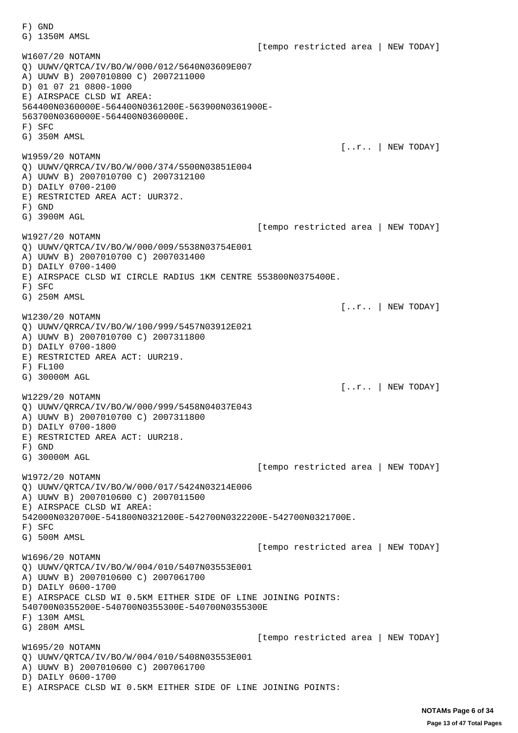F) GND G) 1350M AMSL [tempo restricted area | NEW TODAY] W1607/20 NOTAMN Q) UUWV/QRTCA/IV/BO/W/000/012/5640N03609E007 A) UUWV B) 2007010800 C) 2007211000 D) 01 07 21 0800-1000 E) AIRSPACE CLSD WI AREA: 564400N0360000E-564400N0361200E-563900N0361900E-563700N0360000E-564400N0360000E. F) SFC G) 350M AMSL [..r.. | NEW TODAY] W1959/20 NOTAMN Q) UUWV/QRRCA/IV/BO/W/000/374/5500N03851E004 A) UUWV B) 2007010700 C) 2007312100 D) DAILY 0700-2100 E) RESTRICTED AREA ACT: UUR372. F) GND G) 3900M AGL [tempo restricted area | NEW TODAY] W1927/20 NOTAMN Q) UUWV/QRTCA/IV/BO/W/000/009/5538N03754E001 A) UUWV B) 2007010700 C) 2007031400 D) DAILY 0700-1400 E) AIRSPACE CLSD WI CIRCLE RADIUS 1KM CENTRE 553800N0375400E. F) SFC G) 250M AMSL  $[...r..]$  NEW TODAY] W1230/20 NOTAMN Q) UUWV/QRRCA/IV/BO/W/100/999/5457N03912E021 A) UUWV B) 2007010700 C) 2007311800 D) DAILY 0700-1800 E) RESTRICTED AREA ACT: UUR219. F) FL100 G) 30000M AGL [..r.. | NEW TODAY] W1229/20 NOTAMN Q) UUWV/QRRCA/IV/BO/W/000/999/5458N04037E043 A) UUWV B) 2007010700 C) 2007311800 D) DAILY 0700-1800 E) RESTRICTED AREA ACT: UUR218. F) GND G) 30000M AGL [tempo restricted area | NEW TODAY] W1972/20 NOTAMN Q) UUWV/QRTCA/IV/BO/W/000/017/5424N03214E006 A) UUWV B) 2007010600 C) 2007011500 E) AIRSPACE CLSD WI AREA: 542000N0320700E-541800N0321200E-542700N0322200E-542700N0321700E. F) SFC G) 500M AMSL [tempo restricted area | NEW TODAY] W1696/20 NOTAMN Q) UUWV/QRTCA/IV/BO/W/004/010/5407N03553E001 A) UUWV B) 2007010600 C) 2007061700 D) DAILY 0600-1700 E) AIRSPACE CLSD WI 0.5KM EITHER SIDE OF LINE JOINING POINTS: 540700N0355200E-540700N0355300E-540700N0355300E F) 130M AMSL G) 280M AMSL [tempo restricted area | NEW TODAY] W1695/20 NOTAMN Q) UUWV/QRTCA/IV/BO/W/004/010/5408N03553E001 A) UUWV B) 2007010600 C) 2007061700 D) DAILY 0600-1700 E) AIRSPACE CLSD WI 0.5KM EITHER SIDE OF LINE JOINING POINTS: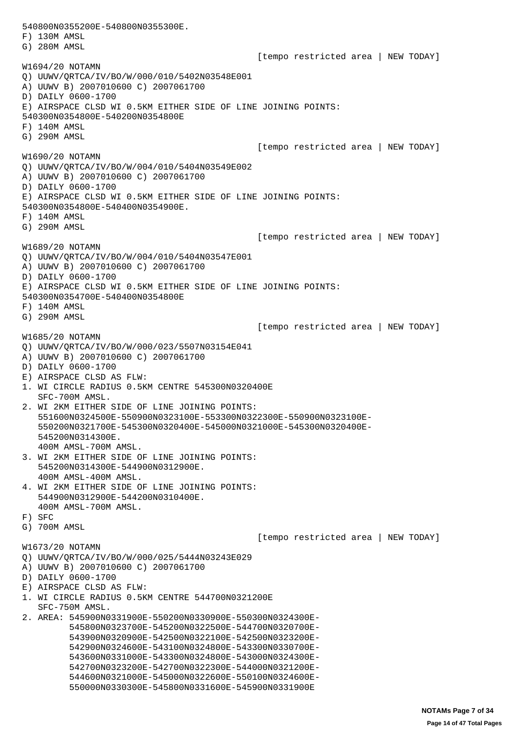540800N0355200E-540800N0355300E. F) 130M AMSL G) 280M AMSL [tempo restricted area | NEW TODAY] W1694/20 NOTAMN Q) UUWV/QRTCA/IV/BO/W/000/010/5402N03548E001 A) UUWV B) 2007010600 C) 2007061700 D) DAILY 0600-1700 E) AIRSPACE CLSD WI 0.5KM EITHER SIDE OF LINE JOINING POINTS: 540300N0354800E-540200N0354800E F) 140M AMSL G) 290M AMSL [tempo restricted area | NEW TODAY] W1690/20 NOTAMN Q) UUWV/QRTCA/IV/BO/W/004/010/5404N03549E002 A) UUWV B) 2007010600 C) 2007061700 D) DAILY 0600-1700 E) AIRSPACE CLSD WI 0.5KM EITHER SIDE OF LINE JOINING POINTS: 540300N0354800E-540400N0354900E. F) 140M AMSL G) 290M AMSL [tempo restricted area | NEW TODAY] W1689/20 NOTAMN Q) UUWV/QRTCA/IV/BO/W/004/010/5404N03547E001 A) UUWV B) 2007010600 C) 2007061700 D) DAILY 0600-1700 E) AIRSPACE CLSD WI 0.5KM EITHER SIDE OF LINE JOINING POINTS: 540300N0354700E-540400N0354800E F) 140M AMSL G) 290M AMSL [tempo restricted area | NEW TODAY] W1685/20 NOTAMN Q) UUWV/QRTCA/IV/BO/W/000/023/5507N03154E041 A) UUWV B) 2007010600 C) 2007061700 D) DAILY 0600-1700 E) AIRSPACE CLSD AS FLW: 1. WI CIRCLE RADIUS 0.5KM CENTRE 545300N0320400E SFC-700M AMSL. 2. WI 2KM EITHER SIDE OF LINE JOINING POINTS: 551600N0324500E-550900N0323100E-553300N0322300E-550900N0323100E- 550200N0321700E-545300N0320400E-545000N0321000E-545300N0320400E- 545200N0314300E. 400M AMSL-700M AMSL. 3. WI 2KM EITHER SIDE OF LINE JOINING POINTS: 545200N0314300E-544900N0312900E. 400M AMSL-400M AMSL. 4. WI 2KM EITHER SIDE OF LINE JOINING POINTS: 544900N0312900E-544200N0310400E. 400M AMSL-700M AMSL. F) SFC G) 700M AMSL [tempo restricted area | NEW TODAY] W1673/20 NOTAMN Q) UUWV/QRTCA/IV/BO/W/000/025/5444N03243E029 A) UUWV B) 2007010600 C) 2007061700 D) DAILY 0600-1700 E) AIRSPACE CLSD AS FLW: 1. WI CIRCLE RADIUS 0.5KM CENTRE 544700N0321200E SFC-750M AMSL. 2. AREA: 545900N0331900E-550200N0330900E-550300N0324300E- 545800N0323700E-545200N0322500E-544700N0320700E- 543900N0320900E-542500N0322100E-542500N0323200E- 542900N0324600E-543100N0324800E-543300N0330700E- 543600N0331000E-543300N0324800E-543000N0324300E- 542700N0323200E-542700N0322300E-544000N0321200E- 544600N0321000E-545000N0322600E-550100N0324600E- 550000N0330300E-545800N0331600E-545900N0331900E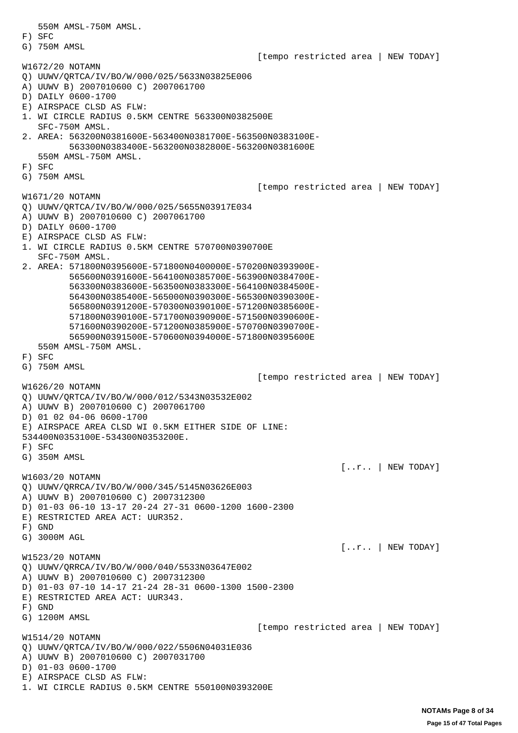550M AMSL-750M AMSL. F) SFC G) 750M AMSL [tempo restricted area | NEW TODAY] W1672/20 NOTAMN Q) UUWV/QRTCA/IV/BO/W/000/025/5633N03825E006 A) UUWV B) 2007010600 C) 2007061700 D) DAILY 0600-1700 E) AIRSPACE CLSD AS FLW: 1. WI CIRCLE RADIUS 0.5KM CENTRE 563300N0382500E SFC-750M AMSL. 2. AREA: 563200N0381600E-563400N0381700E-563500N0383100E- 563300N0383400E-563200N0382800E-563200N0381600E 550M AMSL-750M AMSL. F) SFC G) 750M AMSL [tempo restricted area | NEW TODAY] W1671/20 NOTAMN Q) UUWV/QRTCA/IV/BO/W/000/025/5655N03917E034 A) UUWV B) 2007010600 C) 2007061700 D) DAILY 0600-1700 E) AIRSPACE CLSD AS FLW: 1. WI CIRCLE RADIUS 0.5KM CENTRE 570700N0390700E SFC-750M AMSL. 2. AREA: 571800N0395600E-571800N0400000E-570200N0393900E- 565600N0391600E-564100N0385700E-563900N0384700E- 563300N0383600E-563500N0383300E-564100N0384500E- 564300N0385400E-565000N0390300E-565300N0390300E- 565800N0391200E-570300N0390100E-571200N0385600E- 571800N0390100E-571700N0390900E-571500N0390600E- 571600N0390200E-571200N0385900E-570700N0390700E- 565900N0391500E-570600N0394000E-571800N0395600E 550M AMSL-750M AMSL. F) SFC G) 750M AMSL [tempo restricted area | NEW TODAY] W1626/20 NOTAMN Q) UUWV/QRTCA/IV/BO/W/000/012/5343N03532E002 A) UUWV B) 2007010600 C) 2007061700 D) 01 02 04-06 0600-1700 E) AIRSPACE AREA CLSD WI 0.5KM EITHER SIDE OF LINE: 534400N0353100E-534300N0353200E. F) SFC G) 350M AMSL  $[...r..]$  NEW TODAY] W1603/20 NOTAMN Q) UUWV/QRRCA/IV/BO/W/000/345/5145N03626E003 A) UUWV B) 2007010600 C) 2007312300 D) 01-03 06-10 13-17 20-24 27-31 0600-1200 1600-2300 E) RESTRICTED AREA ACT: UUR352. F) GND G) 3000M AGL [..r.. | NEW TODAY] W1523/20 NOTAMN Q) UUWV/QRRCA/IV/BO/W/000/040/5533N03647E002 A) UUWV B) 2007010600 C) 2007312300 D) 01-03 07-10 14-17 21-24 28-31 0600-1300 1500-2300 E) RESTRICTED AREA ACT: UUR343. F) GND G) 1200M AMSL [tempo restricted area | NEW TODAY] W1514/20 NOTAMN Q) UUWV/QRTCA/IV/BO/W/000/022/5506N04031E036 A) UUWV B) 2007010600 C) 2007031700 D) 01-03 0600-1700 E) AIRSPACE CLSD AS FLW: 1. WI CIRCLE RADIUS 0.5KM CENTRE 550100N0393200E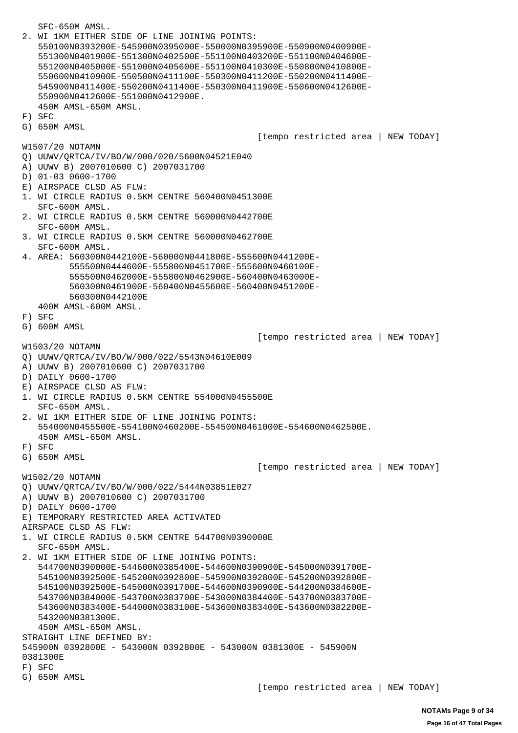SFC-650M AMSL. 2. WI 1KM EITHER SIDE OF LINE JOINING POINTS: 550100N0393200E-545900N0395000E-550000N0395900E-550900N0400900E- 551300N0401900E-551300N0402500E-551100N0403200E-551100N0404600E- 551200N0405000E-551000N0405600E-551100N0410300E-550800N0410800E- 550600N0410900E-550500N0411100E-550300N0411200E-550200N0411400E- 545900N0411400E-550200N0411400E-550300N0411900E-550600N0412600E- 550900N0412600E-551000N0412900E. 450M AMSL-650M AMSL. F) SFC G) 650M AMSL [tempo restricted area | NEW TODAY] W1507/20 NOTAMN Q) UUWV/QRTCA/IV/BO/W/000/020/5600N04521E040 A) UUWV B) 2007010600 C) 2007031700 D) 01-03 0600-1700 E) AIRSPACE CLSD AS FLW: 1. WI CIRCLE RADIUS 0.5KM CENTRE 560400N0451300E SFC-600M AMSL. 2. WI CIRCLE RADIUS 0.5KM CENTRE 560000N0442700E SFC-600M AMSL. 3. WI CIRCLE RADIUS 0.5KM CENTRE 560000N0462700E SFC-600M AMSL. 4. AREA: 560300N0442100E-560000N0441800E-555600N0441200E- 555500N0444600E-555800N0451700E-555600N0460100E- 555500N0462000E-555800N0462900E-560400N0463000E- 560300N0461900E-560400N0455600E-560400N0451200E- 560300N0442100E 400M AMSL-600M AMSL. F) SFC G) 600M AMSL [tempo restricted area | NEW TODAY] W1503/20 NOTAMN Q) UUWV/QRTCA/IV/BO/W/000/022/5543N04610E009 A) UUWV B) 2007010600 C) 2007031700 D) DAILY 0600-1700 E) AIRSPACE CLSD AS FLW: 1. WI CIRCLE RADIUS 0.5KM CENTRE 554000N0455500E SFC-650M AMSL. 2. WI 1KM EITHER SIDE OF LINE JOINING POINTS: 554000N0455500E-554100N0460200E-554500N0461000E-554600N0462500E. 450M AMSL-650M AMSL. F) SFC G) 650M AMSL [tempo restricted area | NEW TODAY] W1502/20 NOTAMN Q) UUWV/QRTCA/IV/BO/W/000/022/5444N03851E027 A) UUWV B) 2007010600 C) 2007031700 D) DAILY 0600-1700 E) TEMPORARY RESTRICTED AREA ACTIVATED AIRSPACE CLSD AS FLW: 1. WI CIRCLE RADIUS 0.5KM CENTRE 544700N0390000E SFC-650M AMSL. 2. WI 1KM EITHER SIDE OF LINE JOINING POINTS: 544700N0390000E-544600N0385400E-544600N0390900E-545000N0391700E- 545100N0392500E-545200N0392800E-545900N0392800E-545200N0392800E- 545100N0392500E-545000N0391700E-544600N0390900E-544200N0384600E- 543700N0384000E-543700N0383700E-543000N0384400E-543700N0383700E- 543600N0383400E-544000N0383100E-543600N0383400E-543600N0382200E- 543200N0381300E. 450M AMSL-650M AMSL. STRAIGHT LINE DEFINED BY: 545900N 0392800E - 543000N 0392800E - 543000N 0381300E - 545900N 0381300E F) SFC G) 650M AMSL [tempo restricted area | NEW TODAY]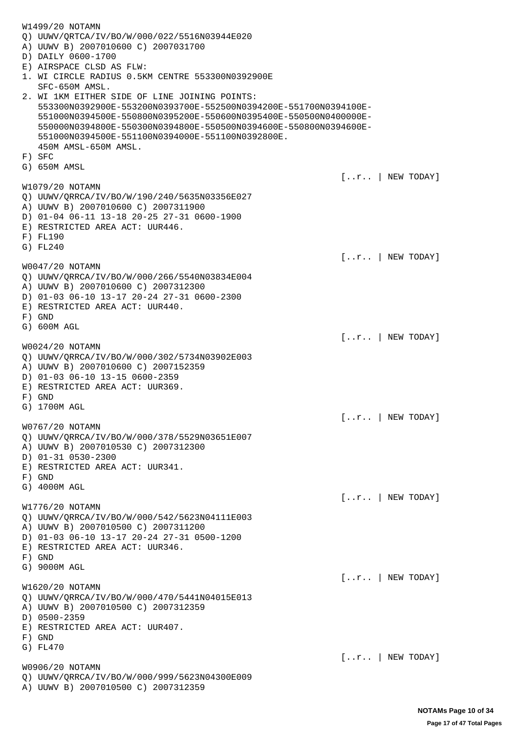| W1499/20 NOTAMN<br>Q) UUWV/QRTCA/IV/BO/W/000/022/5516N03944E020<br>A) UUWV B) 2007010600 C) 2007031700<br>D) DAILY 0600-1700<br>E) AIRSPACE CLSD AS FLW:<br>1. WI CIRCLE RADIUS 0.5KM CENTRE 553300N0392900E<br>SFC-650M AMSL.<br>2. WI 1KM EITHER SIDE OF LINE JOINING POINTS:<br>553300N0392900E-553200N0393700E-552500N0394200E-551700N0394100E-<br>551000N0394500E-550800N0395200E-550600N0395400E-550500N0400000E-<br>550000N0394800E-550300N0394800E-550500N0394600E-550800N0394600E-<br>551000N0394500E-551100N0394000E-551100N0392800E.<br>450M AMSL-650M AMSL.<br>F) SFC<br>G) 650M AMSL |                                    |
|---------------------------------------------------------------------------------------------------------------------------------------------------------------------------------------------------------------------------------------------------------------------------------------------------------------------------------------------------------------------------------------------------------------------------------------------------------------------------------------------------------------------------------------------------------------------------------------------------|------------------------------------|
|                                                                                                                                                                                                                                                                                                                                                                                                                                                                                                                                                                                                   | $[r \mid NEW\text{ TODAY}]$        |
| W1079/20 NOTAMN<br>Q) UUWV/QRRCA/IV/BO/W/190/240/5635N03356E027<br>A) UUWV B) 2007010600 C) 2007311900<br>D) 01-04 06-11 13-18 20-25 27-31 0600-1900<br>E) RESTRICTED AREA ACT: UUR446.<br>$F)$ FL190<br>G) FL240                                                                                                                                                                                                                                                                                                                                                                                 |                                    |
| W0047/20 NOTAMN<br>Q) UUWV/QRRCA/IV/BO/W/000/266/5540N03834E004<br>A) UUWV B) 2007010600 C) 2007312300<br>D) 01-03 06-10 13-17 20-24 27-31 0600-2300<br>E) RESTRICTED AREA ACT: UUR440.<br>$F)$ GND                                                                                                                                                                                                                                                                                                                                                                                               | [r   NEW TODAY]                    |
| G) 600M AGL                                                                                                                                                                                                                                                                                                                                                                                                                                                                                                                                                                                       | $[r \mid$ NEW TODAY]               |
| W0024/20 NOTAMN<br>Q) UUWV/QRRCA/IV/BO/W/000/302/5734N03902E003<br>A) UUWV B) 2007010600 C) 2007152359<br>D) 01-03 06-10 13-15 0600-2359<br>E) RESTRICTED AREA ACT: UUR369.<br>$F)$ GND<br>G) 1700M AGL                                                                                                                                                                                                                                                                                                                                                                                           |                                    |
|                                                                                                                                                                                                                                                                                                                                                                                                                                                                                                                                                                                                   | $[r]$ NEW TODAY]                   |
| W0767/20 NOTAMN<br>Q) UUWV/QRRCA/IV/BO/W/000/378/5529N03651E007<br>A) UUWV B) 2007010530 C) 2007312300<br>D) 01-31 0530-2300<br>E) RESTRICTED AREA ACT: UUR341.<br>$F)$ GND<br>G) 4000M AGL                                                                                                                                                                                                                                                                                                                                                                                                       |                                    |
|                                                                                                                                                                                                                                                                                                                                                                                                                                                                                                                                                                                                   | $\lceil .\ldots \rceil$ NEW TODAY] |
| W1776/20 NOTAMN<br>Q) UUWV/QRRCA/IV/BO/W/000/542/5623N04111E003<br>A) UUWV B) 2007010500 C) 2007311200<br>D) 01-03 06-10 13-17 20-24 27-31 0500-1200<br>E) RESTRICTED AREA ACT: UUR346.<br>$F)$ GND                                                                                                                                                                                                                                                                                                                                                                                               |                                    |
| G) 9000M AGL                                                                                                                                                                                                                                                                                                                                                                                                                                                                                                                                                                                      |                                    |
| W1620/20 NOTAMN<br>Q) UUWV/QRRCA/IV/BO/W/000/470/5441N04015E013<br>A) UUWV B) 2007010500 C) 2007312359<br>D) 0500-2359<br>E) RESTRICTED AREA ACT: UUR407.<br>$F)$ GND                                                                                                                                                                                                                                                                                                                                                                                                                             | $[r \mid$ NEW TODAY]               |
| G) FL470                                                                                                                                                                                                                                                                                                                                                                                                                                                                                                                                                                                          | $[r \mid NEW\text{ TODAY}]$        |
| W0906/20 NOTAMN                                                                                                                                                                                                                                                                                                                                                                                                                                                                                                                                                                                   |                                    |
| Q) UUWV/QRRCA/IV/BO/W/000/999/5623N04300E009<br>A) UUWV B) 2007010500 C) 2007312359                                                                                                                                                                                                                                                                                                                                                                                                                                                                                                               |                                    |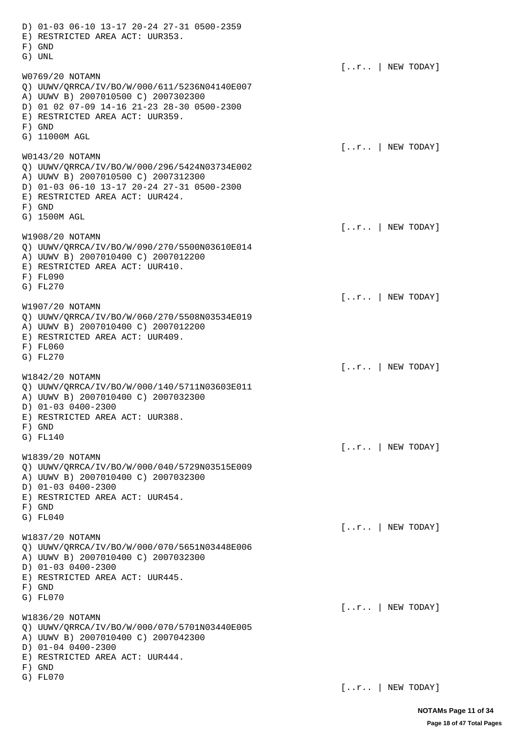D) 01-03 06-10 13-17 20-24 27-31 0500-2359 E) RESTRICTED AREA ACT: UUR353. F) GND G) UNL  $[...r..]$  NEW TODAY] W0769/20 NOTAMN Q) UUWV/QRRCA/IV/BO/W/000/611/5236N04140E007 A) UUWV B) 2007010500 C) 2007302300 D) 01 02 07-09 14-16 21-23 28-30 0500-2300 E) RESTRICTED AREA ACT: UUR359. F) GND G) 11000M AGL [..r.. | NEW TODAY] W0143/20 NOTAMN Q) UUWV/QRRCA/IV/BO/W/000/296/5424N03734E002 A) UUWV B) 2007010500 C) 2007312300 D) 01-03 06-10 13-17 20-24 27-31 0500-2300 E) RESTRICTED AREA ACT: UUR424. F) GND G) 1500M AGL [..r.. | NEW TODAY] W1908/20 NOTAMN Q) UUWV/QRRCA/IV/BO/W/090/270/5500N03610E014 A) UUWV B) 2007010400 C) 2007012200 E) RESTRICTED AREA ACT: UUR410. F) FL090 G) FL270 [..r.. | NEW TODAY] W1907/20 NOTAMN Q) UUWV/QRRCA/IV/BO/W/060/270/5508N03534E019 A) UUWV B) 2007010400 C) 2007012200 E) RESTRICTED AREA ACT: UUR409. F) FL060 G) FL270 [..r.. | NEW TODAY] W1842/20 NOTAMN Q) UUWV/QRRCA/IV/BO/W/000/140/5711N03603E011 A) UUWV B) 2007010400 C) 2007032300 D) 01-03 0400-2300 E) RESTRICTED AREA ACT: UUR388. F) GND G) FL140 [..r.. | NEW TODAY] W1839/20 NOTAMN Q) UUWV/QRRCA/IV/BO/W/000/040/5729N03515E009 A) UUWV B) 2007010400 C) 2007032300 D) 01-03 0400-2300 E) RESTRICTED AREA ACT: UUR454. F) GND G) FL040  $[...r..]$  NEW TODAY] W1837/20 NOTAMN Q) UUWV/QRRCA/IV/BO/W/000/070/5651N03448E006 A) UUWV B) 2007010400 C) 2007032300 D) 01-03 0400-2300 E) RESTRICTED AREA ACT: UUR445. F) GND G) FL070  $[...r..]$  NEW TODAY] W1836/20 NOTAMN Q) UUWV/QRRCA/IV/BO/W/000/070/5701N03440E005 A) UUWV B) 2007010400 C) 2007042300 D) 01-04 0400-2300 E) RESTRICTED AREA ACT: UUR444. F) GND G) FL070

[..r.. | NEW TODAY]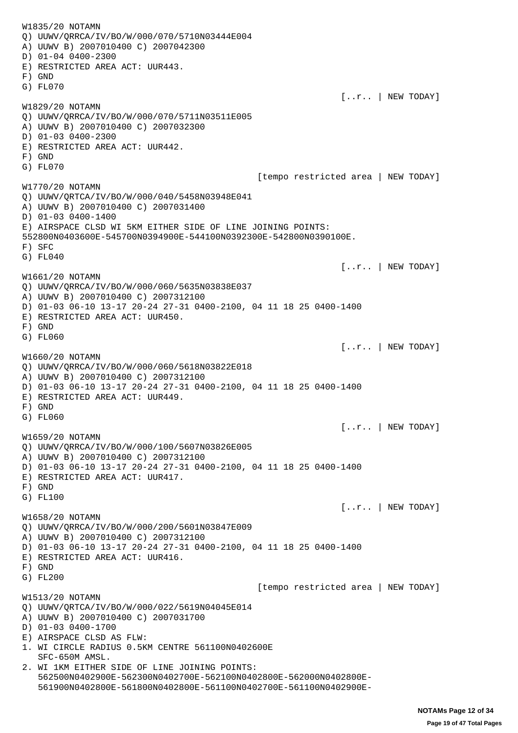W1835/20 NOTAMN Q) UUWV/QRRCA/IV/BO/W/000/070/5710N03444E004 A) UUWV B) 2007010400 C) 2007042300 D) 01-04 0400-2300 E) RESTRICTED AREA ACT: UUR443. F) GND G) FL070  $[...r..]$  NEW TODAY] W1829/20 NOTAMN Q) UUWV/QRRCA/IV/BO/W/000/070/5711N03511E005 A) UUWV B) 2007010400 C) 2007032300 D) 01-03 0400-2300 E) RESTRICTED AREA ACT: UUR442. F) GND G) FL070 [tempo restricted area | NEW TODAY] W1770/20 NOTAMN Q) UUWV/QRTCA/IV/BO/W/000/040/5458N03948E041 A) UUWV B) 2007010400 C) 2007031400 D) 01-03 0400-1400 E) AIRSPACE CLSD WI 5KM EITHER SIDE OF LINE JOINING POINTS: 552800N0403600E-545700N0394900E-544100N0392300E-542800N0390100E. F) SFC G) FL040 [..r.. | NEW TODAY] W1661/20 NOTAMN Q) UUWV/QRRCA/IV/BO/W/000/060/5635N03838E037 A) UUWV B) 2007010400 C) 2007312100 D) 01-03 06-10 13-17 20-24 27-31 0400-2100, 04 11 18 25 0400-1400 E) RESTRICTED AREA ACT: UUR450. F) GND G) FL060 [..r.. | NEW TODAY] W1660/20 NOTAMN Q) UUWV/QRRCA/IV/BO/W/000/060/5618N03822E018 A) UUWV B) 2007010400 C) 2007312100 D) 01-03 06-10 13-17 20-24 27-31 0400-2100, 04 11 18 25 0400-1400 E) RESTRICTED AREA ACT: UUR449. F) GND G) FL060  $[...r..]$  NEW TODAY] W1659/20 NOTAMN Q) UUWV/QRRCA/IV/BO/W/000/100/5607N03826E005 A) UUWV B) 2007010400 C) 2007312100 D) 01-03 06-10 13-17 20-24 27-31 0400-2100, 04 11 18 25 0400-1400 E) RESTRICTED AREA ACT: UUR417. F) GND G) FL100  $[...r..]$  NEW TODAY] W1658/20 NOTAMN Q) UUWV/QRRCA/IV/BO/W/000/200/5601N03847E009 A) UUWV B) 2007010400 C) 2007312100 D) 01-03 06-10 13-17 20-24 27-31 0400-2100, 04 11 18 25 0400-1400 E) RESTRICTED AREA ACT: UUR416. F) GND G) FL200 [tempo restricted area | NEW TODAY] W1513/20 NOTAMN Q) UUWV/QRTCA/IV/BO/W/000/022/5619N04045E014 A) UUWV B) 2007010400 C) 2007031700 D) 01-03 0400-1700 E) AIRSPACE CLSD AS FLW: 1. WI CIRCLE RADIUS 0.5KM CENTRE 561100N0402600E SFC-650M AMSL. 2. WI 1KM EITHER SIDE OF LINE JOINING POINTS: 562500N0402900E-562300N0402700E-562100N0402800E-562000N0402800E- 561900N0402800E-561800N0402800E-561100N0402700E-561100N0402900E-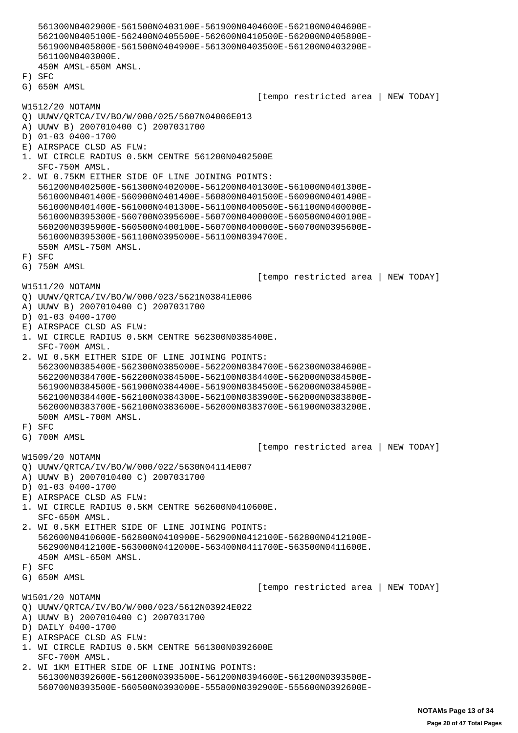561300N0402900E-561500N0403100E-561900N0404600E-562100N0404600E- 562100N0405100E-562400N0405500E-562600N0410500E-562000N0405800E- 561900N0405800E-561500N0404900E-561300N0403500E-561200N0403200E- 561100N0403000E. 450M AMSL-650M AMSL. F) SFC G) 650M AMSL [tempo restricted area | NEW TODAY] W1512/20 NOTAMN Q) UUWV/QRTCA/IV/BO/W/000/025/5607N04006E013 A) UUWV B) 2007010400 C) 2007031700 D) 01-03 0400-1700 E) AIRSPACE CLSD AS FLW: 1. WI CIRCLE RADIUS 0.5KM CENTRE 561200N0402500E SFC-750M AMSL. 2. WI 0.75KM EITHER SIDE OF LINE JOINING POINTS: 561200N0402500E-561300N0402000E-561200N0401300E-561000N0401300E- 561000N0401400E-560900N0401400E-560800N0401500E-560900N0401400E- 561000N0401400E-561000N0401300E-561100N0400500E-561100N0400000E- 561000N0395300E-560700N0395600E-560700N0400000E-560500N0400100E- 560200N0395900E-560500N0400100E-560700N0400000E-560700N0395600E- 561000N0395300E-561100N0395000E-561100N0394700E. 550M AMSL-750M AMSL. F) SFC G) 750M AMSL [tempo restricted area | NEW TODAY] W1511/20 NOTAMN Q) UUWV/QRTCA/IV/BO/W/000/023/5621N03841E006 A) UUWV B) 2007010400 C) 2007031700 D) 01-03 0400-1700 E) AIRSPACE CLSD AS FLW: 1. WI CIRCLE RADIUS 0.5KM CENTRE 562300N0385400E. SFC-700M AMSL. 2. WI 0.5KM EITHER SIDE OF LINE JOINING POINTS: 562300N0385400E-562300N0385000E-562200N0384700E-562300N0384600E- 562200N0384700E-562200N0384500E-562100N0384400E-562000N0384500E- 561900N0384500E-561900N0384400E-561900N0384500E-562000N0384500E- 562100N0384400E-562100N0384300E-562100N0383900E-562000N0383800E- 562000N0383700E-562100N0383600E-562000N0383700E-561900N0383200E. 500M AMSL-700M AMSL. F) SFC G) 700M AMSL [tempo restricted area | NEW TODAY] W1509/20 NOTAMN Q) UUWV/QRTCA/IV/BO/W/000/022/5630N04114E007 A) UUWV B) 2007010400 C) 2007031700 D) 01-03 0400-1700 E) AIRSPACE CLSD AS FLW: 1. WI CIRCLE RADIUS 0.5KM CENTRE 562600N0410600E. SFC-650M AMSL. 2. WI 0.5KM EITHER SIDE OF LINE JOINING POINTS: 562600N0410600E-562800N0410900E-562900N0412100E-562800N0412100E- 562900N0412100E-563000N0412000E-563400N0411700E-563500N0411600E. 450M AMSL-650M AMSL. F) SFC G) 650M AMSL [tempo restricted area | NEW TODAY] W1501/20 NOTAMN Q) UUWV/QRTCA/IV/BO/W/000/023/5612N03924E022 A) UUWV B) 2007010400 C) 2007031700 D) DAILY 0400-1700 E) AIRSPACE CLSD AS FLW: 1. WI CIRCLE RADIUS 0.5KM CENTRE 561300N0392600E SFC-700M AMSL. 2. WI 1KM EITHER SIDE OF LINE JOINING POINTS: 561300N0392600E-561200N0393500E-561200N0394600E-561200N0393500E-

560700N0393500E-560500N0393000E-555800N0392900E-555600N0392600E-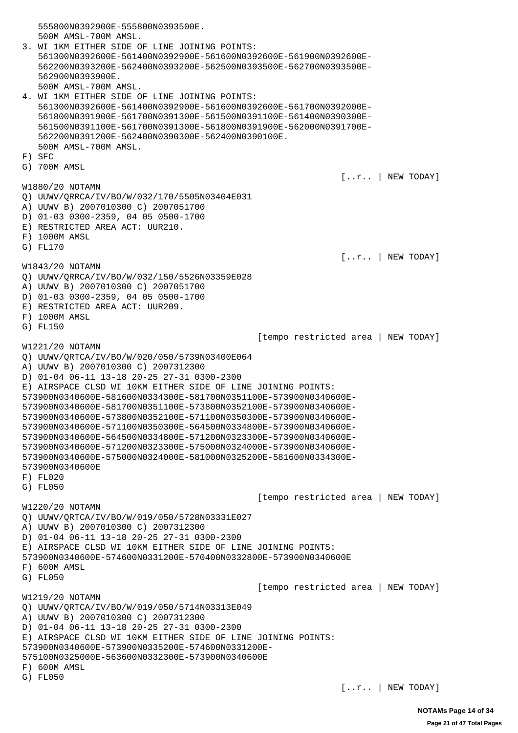555800N0392900E-555800N0393500E. 500M AMSL-700M AMSL. 3. WI 1KM EITHER SIDE OF LINE JOINING POINTS: 561300N0392600E-561400N0392900E-561600N0392600E-561900N0392600E- 562200N0393200E-562400N0393200E-562500N0393500E-562700N0393500E- 562900N0393900E. 500M AMSL-700M AMSL. 4. WI 1KM EITHER SIDE OF LINE JOINING POINTS: 561300N0392600E-561400N0392900E-561600N0392600E-561700N0392000E- 561800N0391900E-561700N0391300E-561500N0391100E-561400N0390300E- 561500N0391100E-561700N0391300E-561800N0391900E-562000N0391700E- 562200N0391200E-562400N0390300E-562400N0390100E. 500M AMSL-700M AMSL. F) SFC G) 700M AMSL [..r.. | NEW TODAY] W1880/20 NOTAMN Q) UUWV/QRRCA/IV/BO/W/032/170/5505N03404E031 A) UUWV B) 2007010300 C) 2007051700 D) 01-03 0300-2359, 04 05 0500-1700 E) RESTRICTED AREA ACT: UUR210. F) 1000M AMSL G) FL170  $[...r..]$  NEW TODAY] W1843/20 NOTAMN Q) UUWV/QRRCA/IV/BO/W/032/150/5526N03359E028 A) UUWV B) 2007010300 C) 2007051700 D) 01-03 0300-2359, 04 05 0500-1700 E) RESTRICTED AREA ACT: UUR209. F) 1000M AMSL G) FL150 [tempo restricted area | NEW TODAY] W1221/20 NOTAMN Q) UUWV/QRTCA/IV/BO/W/020/050/5739N03400E064 A) UUWV B) 2007010300 C) 2007312300 D) 01-04 06-11 13-18 20-25 27-31 0300-2300 E) AIRSPACE CLSD WI 10KM EITHER SIDE OF LINE JOINING POINTS: 573900N0340600E-581600N0334300E-581700N0351100E-573900N0340600E-573900N0340600E-581700N0351100E-573800N0352100E-573900N0340600E-573900N0340600E-573800N0352100E-571100N0350300E-573900N0340600E-573900N0340600E-571100N0350300E-564500N0334800E-573900N0340600E-573900N0340600E-564500N0334800E-571200N0323300E-573900N0340600E-573900N0340600E-571200N0323300E-575000N0324000E-573900N0340600E-573900N0340600E-575000N0324000E-581000N0325200E-581600N0334300E-573900N0340600E F) FL020 G) FL050 [tempo restricted area | NEW TODAY] W1220/20 NOTAMN Q) UUWV/QRTCA/IV/BO/W/019/050/5728N03331E027 A) UUWV B) 2007010300 C) 2007312300 D) 01-04 06-11 13-18 20-25 27-31 0300-2300 E) AIRSPACE CLSD WI 10KM EITHER SIDE OF LINE JOINING POINTS: 573900N0340600E-574600N0331200E-570400N0332800E-573900N0340600E F) 600M AMSL G) FL050 [tempo restricted area | NEW TODAY] W1219/20 NOTAMN Q) UUWV/QRTCA/IV/BO/W/019/050/5714N03313E049 A) UUWV B) 2007010300 C) 2007312300 D) 01-04 06-11 13-18 20-25 27-31 0300-2300 E) AIRSPACE CLSD WI 10KM EITHER SIDE OF LINE JOINING POINTS: 573900N0340600E-573900N0335200E-574600N0331200E-575100N0325000E-563600N0332300E-573900N0340600E F) 600M AMSL G) FL050  $[...r..]$  NEW TODAY]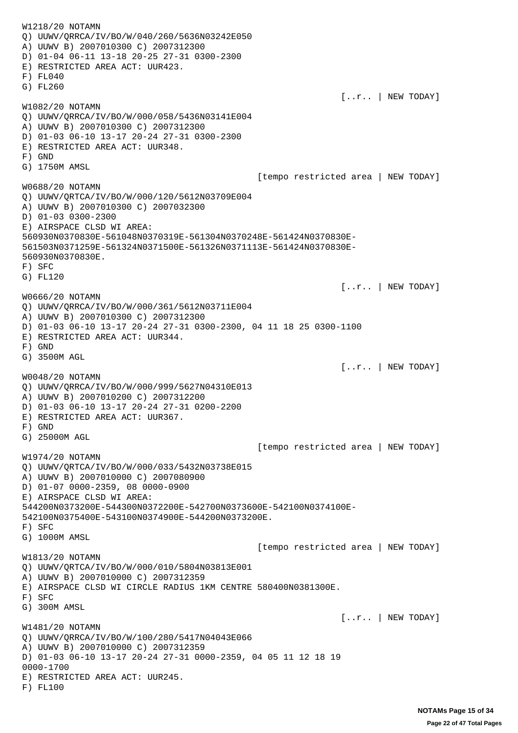W1218/20 NOTAMN Q) UUWV/QRRCA/IV/BO/W/040/260/5636N03242E050 A) UUWV B) 2007010300 C) 2007312300 D) 01-04 06-11 13-18 20-25 27-31 0300-2300 E) RESTRICTED AREA ACT: UUR423. F) FL040 G) FL260  $[...r..]$  NEW TODAY] W1082/20 NOTAMN Q) UUWV/QRRCA/IV/BO/W/000/058/5436N03141E004 A) UUWV B) 2007010300 C) 2007312300 D) 01-03 06-10 13-17 20-24 27-31 0300-2300 E) RESTRICTED AREA ACT: UUR348. F) GND G) 1750M AMSL [tempo restricted area | NEW TODAY] W0688/20 NOTAMN Q) UUWV/QRTCA/IV/BO/W/000/120/5612N03709E004 A) UUWV B) 2007010300 C) 2007032300 D) 01-03 0300-2300 E) AIRSPACE CLSD WI AREA: 560930N0370830E-561048N0370319E-561304N0370248E-561424N0370830E-561503N0371259E-561324N0371500E-561326N0371113E-561424N0370830E-560930N0370830E. F) SFC G) FL120 [..r.. | NEW TODAY] W0666/20 NOTAMN Q) UUWV/QRRCA/IV/BO/W/000/361/5612N03711E004 A) UUWV B) 2007010300 C) 2007312300 D) 01-03 06-10 13-17 20-24 27-31 0300-2300, 04 11 18 25 0300-1100 E) RESTRICTED AREA ACT: UUR344. F) GND G) 3500M AGL [..r.. | NEW TODAY] W0048/20 NOTAMN Q) UUWV/QRRCA/IV/BO/W/000/999/5627N04310E013 A) UUWV B) 2007010200 C) 2007312200 D) 01-03 06-10 13-17 20-24 27-31 0200-2200 E) RESTRICTED AREA ACT: UUR367. F) GND G) 25000M AGL [tempo restricted area | NEW TODAY] W1974/20 NOTAMN Q) UUWV/QRTCA/IV/BO/W/000/033/5432N03738E015 A) UUWV B) 2007010000 C) 2007080900 D) 01-07 0000-2359, 08 0000-0900 E) AIRSPACE CLSD WI AREA: 544200N0373200E-544300N0372200E-542700N0373600E-542100N0374100E-542100N0375400E-543100N0374900E-544200N0373200E. F) SFC G) 1000M AMSL [tempo restricted area | NEW TODAY] W1813/20 NOTAMN Q) UUWV/QRTCA/IV/BO/W/000/010/5804N03813E001 A) UUWV B) 2007010000 C) 2007312359 E) AIRSPACE CLSD WI CIRCLE RADIUS 1KM CENTRE 580400N0381300E. F) SFC G) 300M AMSL [..r.. | NEW TODAY] W1481/20 NOTAMN Q) UUWV/QRRCA/IV/BO/W/100/280/5417N04043E066 A) UUWV B) 2007010000 C) 2007312359 D) 01-03 06-10 13-17 20-24 27-31 0000-2359, 04 05 11 12 18 19 0000-1700 E) RESTRICTED AREA ACT: UUR245. F) FL100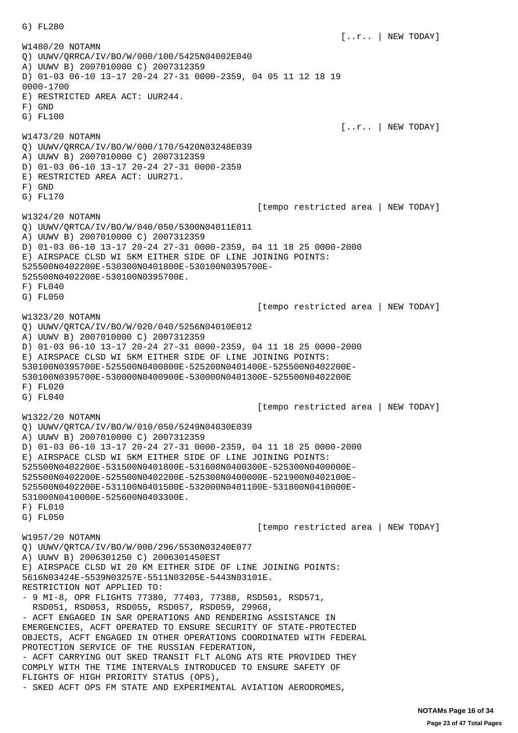$[...r..]$  NEW TODAY] W1480/20 NOTAMN Q) UUWV/QRRCA/IV/BO/W/000/100/5425N04002E040 A) UUWV B) 2007010000 C) 2007312359 D) 01-03 06-10 13-17 20-24 27-31 0000-2359, 04 05 11 12 18 19 0000-1700 E) RESTRICTED AREA ACT: UUR244. F) GND G) FL100  $[...r..]$  NEW TODAY] W1473/20 NOTAMN Q) UUWV/QRRCA/IV/BO/W/000/170/5420N03248E039 A) UUWV B) 2007010000 C) 2007312359 D) 01-03 06-10 13-17 20-24 27-31 0000-2359 E) RESTRICTED AREA ACT: UUR271. F) GND G) FL170 [tempo restricted area | NEW TODAY] W1324/20 NOTAMN Q) UUWV/QRTCA/IV/BO/W/040/050/5300N04011E011 A) UUWV B) 2007010000 C) 2007312359 D) 01-03 06-10 13-17 20-24 27-31 0000-2359, 04 11 18 25 0000-2000 E) AIRSPACE CLSD WI 5KM EITHER SIDE OF LINE JOINING POINTS: 525500N0402200E-530300N0401800E-530100N0395700E-525500N0402200E-530100N0395700E. F) FL040 G) FL050 [tempo restricted area | NEW TODAY] W1323/20 NOTAMN Q) UUWV/QRTCA/IV/BO/W/020/040/5256N04010E012 A) UUWV B) 2007010000 C) 2007312359 D) 01-03 06-10 13-17 20-24 27-31 0000-2359, 04 11 18 25 0000-2000 E) AIRSPACE CLSD WI 5KM EITHER SIDE OF LINE JOINING POINTS: 530100N0395700E-525500N0400800E-525200N0401400E-525500N0402200E-530100N0395700E-530000N0400900E-530000N0401300E-525500N0402200E F) FL020 G) FL040 [tempo restricted area | NEW TODAY] W1322/20 NOTAMN Q) UUWV/QRTCA/IV/BO/W/010/050/5249N04030E039 A) UUWV B) 2007010000 C) 2007312359 D) 01-03 06-10 13-17 20-24 27-31 0000-2359, 04 11 18 25 0000-2000 E) AIRSPACE CLSD WI 5KM EITHER SIDE OF LINE JOINING POINTS: 525500N0402200E-531500N0401800E-531600N0400300E-525300N0400000E-525500N0402200E-525500N0402200E-525300N0400000E-521900N0402100E-525500N0402200E-531100N0401500E-532000N0401100E-531800N0410000E-531000N0410000E-525600N0403300E. F) FL010 G) FL050 [tempo restricted area | NEW TODAY] W1957/20 NOTAMN Q) UUWV/QRTCA/IV/BO/W/000/296/5530N03240E077 A) UUWV B) 2006301250 C) 2006301450EST E) AIRSPACE CLSD WI 20 KM EITHER SIDE OF LINE JOINING POINTS: 5616N03424E-5539N03257E-5511N03205E-5443N03101E. RESTRICTION NOT APPLIED TO: - 9 MI-8, OPR FLIGHTS 77380, 77403, 77388, RSD501, RSD571, RSD051, RSD053, RSD055, RSD057, RSD059, 29968, - ACFT ENGAGED IN SAR OPERATIONS AND RENDERING ASSISTANCE IN EMERGENCIES, ACFT OPERATED TO ENSURE SECURITY OF STATE-PROTECTED OBJECTS, ACFT ENGAGED IN OTHER OPERATIONS COORDINATED WITH FEDERAL PROTECTION SERVICE OF THE RUSSIAN FEDERATION, - ACFT CARRYING OUT SKED TRANSIT FLT ALONG ATS RTE PROVIDED THEY COMPLY WITH THE TIME INTERVALS INTRODUCED TO ENSURE SAFETY OF FLIGHTS OF HIGH PRIORITY STATUS (OPS), - SKED ACFT OPS FM STATE AND EXPERIMENTAL AVIATION AERODROMES,

G) FL280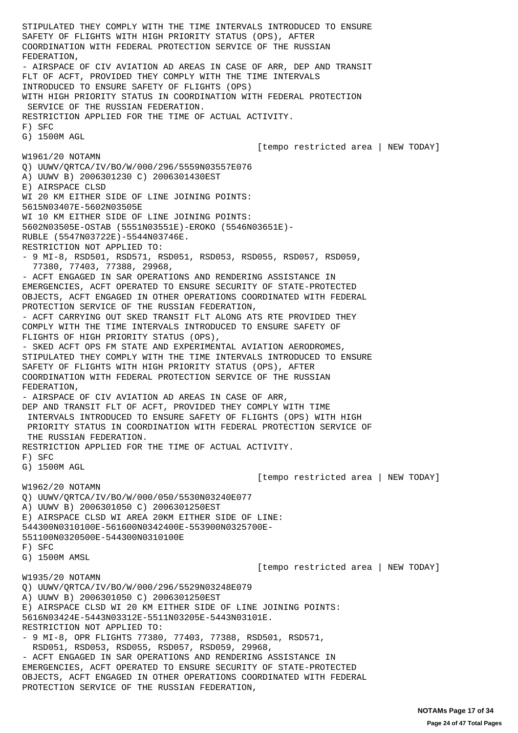STIPULATED THEY COMPLY WITH THE TIME INTERVALS INTRODUCED TO ENSURE SAFETY OF FLIGHTS WITH HIGH PRIORITY STATUS (OPS), AFTER COORDINATION WITH FEDERAL PROTECTION SERVICE OF THE RUSSIAN FEDERATION, - AIRSPACE OF CIV AVIATION AD AREAS IN CASE OF ARR, DEP AND TRANSIT FLT OF ACFT, PROVIDED THEY COMPLY WITH THE TIME INTERVALS INTRODUCED TO ENSURE SAFETY OF FLIGHTS (OPS) WITH HIGH PRIORITY STATUS IN COORDINATION WITH FEDERAL PROTECTION SERVICE OF THE RUSSIAN FEDERATION. RESTRICTION APPLIED FOR THE TIME OF ACTUAL ACTIVITY. F) SFC G) 1500M AGL [tempo restricted area | NEW TODAY] W1961/20 NOTAMN Q) UUWV/QRTCA/IV/BO/W/000/296/5559N03557E076 A) UUWV B) 2006301230 C) 2006301430EST E) AIRSPACE CLSD WI 20 KM EITHER SIDE OF LINE JOINING POINTS: 5615N03407E-5602N03505E WI 10 KM EITHER SIDE OF LINE JOINING POINTS: 5602N03505E-OSTAB (5551N03551E)-EROKO (5546N03651E)- RUBLE (5547N03722E)-5544N03746E. RESTRICTION NOT APPLIED TO: - 9 MI-8, RSD501, RSD571, RSD051, RSD053, RSD055, RSD057, RSD059, 77380, 77403, 77388, 29968, - ACFT ENGAGED IN SAR OPERATIONS AND RENDERING ASSISTANCE IN EMERGENCIES, ACFT OPERATED TO ENSURE SECURITY OF STATE-PROTECTED OBJECTS, ACFT ENGAGED IN OTHER OPERATIONS COORDINATED WITH FEDERAL PROTECTION SERVICE OF THE RUSSIAN FEDERATION, - ACFT CARRYING OUT SKED TRANSIT FLT ALONG ATS RTE PROVIDED THEY COMPLY WITH THE TIME INTERVALS INTRODUCED TO ENSURE SAFETY OF FLIGHTS OF HIGH PRIORITY STATUS (OPS), - SKED ACFT OPS FM STATE AND EXPERIMENTAL AVIATION AERODROMES, STIPULATED THEY COMPLY WITH THE TIME INTERVALS INTRODUCED TO ENSURE SAFETY OF FLIGHTS WITH HIGH PRIORITY STATUS (OPS), AFTER COORDINATION WITH FEDERAL PROTECTION SERVICE OF THE RUSSIAN FEDERATION, - AIRSPACE OF CIV AVIATION AD AREAS IN CASE OF ARR, DEP AND TRANSIT FLT OF ACFT, PROVIDED THEY COMPLY WITH TIME INTERVALS INTRODUCED TO ENSURE SAFETY OF FLIGHTS (OPS) WITH HIGH PRIORITY STATUS IN COORDINATION WITH FEDERAL PROTECTION SERVICE OF THE RUSSIAN FEDERATION. RESTRICTION APPLIED FOR THE TIME OF ACTUAL ACTIVITY. F) SFC G) 1500M AGL [tempo restricted area | NEW TODAY] W1962/20 NOTAMN Q) UUWV/QRTCA/IV/BO/W/000/050/5530N03240E077 A) UUWV B) 2006301050 C) 2006301250EST E) AIRSPACE CLSD WI AREA 20KM EITHER SIDE OF LINE: 544300N0310100E-561600N0342400E-553900N0325700E-551100N0320500E-544300N0310100E F) SFC G) 1500M AMSL [tempo restricted area | NEW TODAY] W1935/20 NOTAMN Q) UUWV/QRTCA/IV/BO/W/000/296/5529N03248E079 A) UUWV B) 2006301050 C) 2006301250EST E) AIRSPACE CLSD WI 20 KM EITHER SIDE OF LINE JOINING POINTS: 5616N03424E-5443N03312E-5511N03205E-5443N03101E. RESTRICTION NOT APPLIED TO: - 9 MI-8, OPR FLIGHTS 77380, 77403, 77388, RSD501, RSD571, RSD051, RSD053, RSD055, RSD057, RSD059, 29968, - ACFT ENGAGED IN SAR OPERATIONS AND RENDERING ASSISTANCE IN EMERGENCIES, ACFT OPERATED TO ENSURE SECURITY OF STATE-PROTECTED OBJECTS, ACFT ENGAGED IN OTHER OPERATIONS COORDINATED WITH FEDERAL PROTECTION SERVICE OF THE RUSSIAN FEDERATION,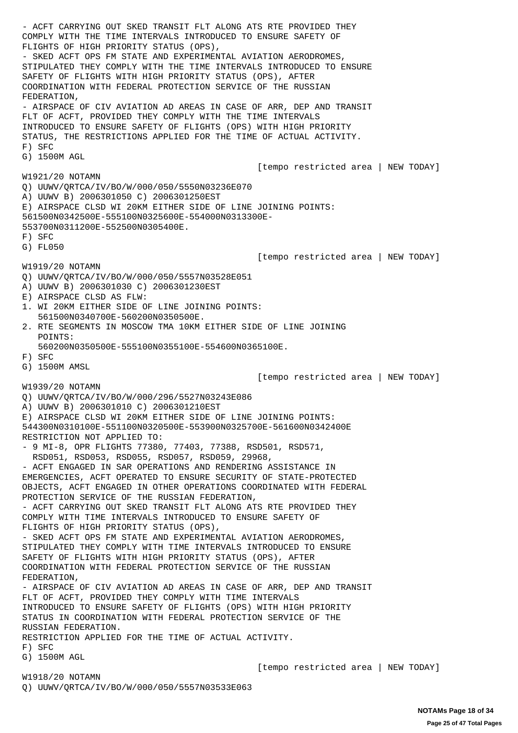- ACFT CARRYING OUT SKED TRANSIT FLT ALONG ATS RTE PROVIDED THEY COMPLY WITH THE TIME INTERVALS INTRODUCED TO ENSURE SAFETY OF FLIGHTS OF HIGH PRIORITY STATUS (OPS), - SKED ACFT OPS FM STATE AND EXPERIMENTAL AVIATION AERODROMES, STIPULATED THEY COMPLY WITH THE TIME INTERVALS INTRODUCED TO ENSURE SAFETY OF FLIGHTS WITH HIGH PRIORITY STATUS (OPS), AFTER COORDINATION WITH FEDERAL PROTECTION SERVICE OF THE RUSSIAN FEDERATION, - AIRSPACE OF CIV AVIATION AD AREAS IN CASE OF ARR, DEP AND TRANSIT FLT OF ACFT, PROVIDED THEY COMPLY WITH THE TIME INTERVALS INTRODUCED TO ENSURE SAFETY OF FLIGHTS (OPS) WITH HIGH PRIORITY STATUS, THE RESTRICTIONS APPLIED FOR THE TIME OF ACTUAL ACTIVITY. F) SFC G) 1500M AGL [tempo restricted area | NEW TODAY] W1921/20 NOTAMN Q) UUWV/QRTCA/IV/BO/W/000/050/5550N03236E070 A) UUWV B) 2006301050 C) 2006301250EST E) AIRSPACE CLSD WI 20KM EITHER SIDE OF LINE JOINING POINTS: 561500N0342500E-555100N0325600E-554000N0313300E-553700N0311200E-552500N0305400E. F) SFC G) FL050 [tempo restricted area | NEW TODAY] W1919/20 NOTAMN Q) UUWV/QRTCA/IV/BO/W/000/050/5557N03528E051 A) UUWV B) 2006301030 C) 2006301230EST E) AIRSPACE CLSD AS FLW: 1. WI 20KM EITHER SIDE OF LINE JOINING POINTS: 561500N0340700E-560200N0350500E. 2. RTE SEGMENTS IN MOSCOW TMA 10KM EITHER SIDE OF LINE JOINING POINTS: 560200N0350500E-555100N0355100E-554600N0365100E. F) SFC G) 1500M AMSL [tempo restricted area | NEW TODAY] W1939/20 NOTAMN Q) UUWV/QRTCA/IV/BO/W/000/296/5527N03243E086 A) UUWV B) 2006301010 C) 2006301210EST E) AIRSPACE CLSD WI 20KM EITHER SIDE OF LINE JOINING POINTS: 544300N0310100E-551100N0320500E-553900N0325700E-561600N0342400E RESTRICTION NOT APPLIED TO: - 9 MI-8, OPR FLIGHTS 77380, 77403, 77388, RSD501, RSD571, RSD051, RSD053, RSD055, RSD057, RSD059, 29968, - ACFT ENGAGED IN SAR OPERATIONS AND RENDERING ASSISTANCE IN EMERGENCIES, ACFT OPERATED TO ENSURE SECURITY OF STATE-PROTECTED OBJECTS, ACFT ENGAGED IN OTHER OPERATIONS COORDINATED WITH FEDERAL PROTECTION SERVICE OF THE RUSSIAN FEDERATION, - ACFT CARRYING OUT SKED TRANSIT FLT ALONG ATS RTE PROVIDED THEY COMPLY WITH TIME INTERVALS INTRODUCED TO ENSURE SAFETY OF FLIGHTS OF HIGH PRIORITY STATUS (OPS), - SKED ACFT OPS FM STATE AND EXPERIMENTAL AVIATION AERODROMES, STIPULATED THEY COMPLY WITH TIME INTERVALS INTRODUCED TO ENSURE SAFETY OF FLIGHTS WITH HIGH PRIORITY STATUS (OPS), AFTER COORDINATION WITH FEDERAL PROTECTION SERVICE OF THE RUSSIAN FEDERATION, - AIRSPACE OF CIV AVIATION AD AREAS IN CASE OF ARR, DEP AND TRANSIT FLT OF ACFT, PROVIDED THEY COMPLY WITH TIME INTERVALS INTRODUCED TO ENSURE SAFETY OF FLIGHTS (OPS) WITH HIGH PRIORITY STATUS IN COORDINATION WITH FEDERAL PROTECTION SERVICE OF THE RUSSIAN FEDERATION. RESTRICTION APPLIED FOR THE TIME OF ACTUAL ACTIVITY. F) SFC G) 1500M AGL [tempo restricted area | NEW TODAY]

Q) UUWV/QRTCA/IV/BO/W/000/050/5557N03533E063

W1918/20 NOTAMN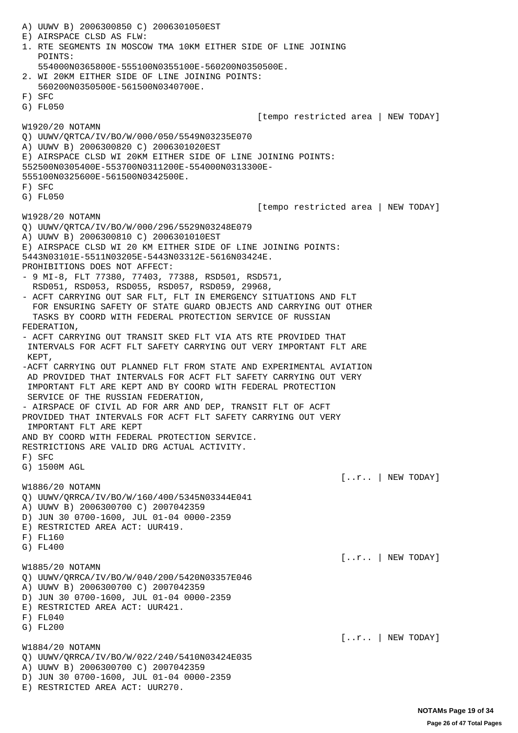A) UUWV B) 2006300850 C) 2006301050EST E) AIRSPACE CLSD AS FLW: 1. RTE SEGMENTS IN MOSCOW TMA 10KM EITHER SIDE OF LINE JOINING POINTS: 554000N0365800E-555100N0355100E-560200N0350500E. 2. WI 20KM EITHER SIDE OF LINE JOINING POINTS: 560200N0350500E-561500N0340700E. F) SFC G) FL050 [tempo restricted area | NEW TODAY] W1920/20 NOTAMN Q) UUWV/QRTCA/IV/BO/W/000/050/5549N03235E070 A) UUWV B) 2006300820 C) 2006301020EST E) AIRSPACE CLSD WI 20KM EITHER SIDE OF LINE JOINING POINTS: 552500N0305400E-553700N0311200E-554000N0313300E-555100N0325600E-561500N0342500E. F) SFC G) FL050 [tempo restricted area | NEW TODAY] W1928/20 NOTAMN Q) UUWV/QRTCA/IV/BO/W/000/296/5529N03248E079 A) UUWV B) 2006300810 C) 2006301010EST E) AIRSPACE CLSD WI 20 KM EITHER SIDE OF LINE JOINING POINTS: 5443N03101E-5511N03205E-5443N03312E-5616N03424E. PROHIBITIONS DOES NOT AFFECT: - 9 MI-8, FLT 77380, 77403, 77388, RSD501, RSD571, RSD051, RSD053, RSD055, RSD057, RSD059, 29968, - ACFT CARRYING OUT SAR FLT, FLT IN EMERGENCY SITUATIONS AND FLT FOR ENSURING SAFETY OF STATE GUARD OBJECTS AND CARRYING OUT OTHER TASKS BY COORD WITH FEDERAL PROTECTION SERVICE OF RUSSIAN FEDERATION, - ACFT CARRYING OUT TRANSIT SKED FLT VIA ATS RTE PROVIDED THAT INTERVALS FOR ACFT FLT SAFETY CARRYING OUT VERY IMPORTANT FLT ARE KEPT, -ACFT CARRYING OUT PLANNED FLT FROM STATE AND EXPERIMENTAL AVIATION AD PROVIDED THAT INTERVALS FOR ACFT FLT SAFETY CARRYING OUT VERY IMPORTANT FLT ARE KEPT AND BY COORD WITH FEDERAL PROTECTION SERVICE OF THE RUSSIAN FEDERATION, - AIRSPACE OF CIVIL AD FOR ARR AND DEP, TRANSIT FLT OF ACFT PROVIDED THAT INTERVALS FOR ACFT FLT SAFETY CARRYING OUT VERY IMPORTANT FLT ARE KEPT AND BY COORD WITH FEDERAL PROTECTION SERVICE. RESTRICTIONS ARE VALID DRG ACTUAL ACTIVITY. F) SFC G) 1500M AGL  $[...r..]$  NEW TODAY] W1886/20 NOTAMN Q) UUWV/QRRCA/IV/BO/W/160/400/5345N03344E041 A) UUWV B) 2006300700 C) 2007042359 D) JUN 30 0700-1600, JUL 01-04 0000-2359 E) RESTRICTED AREA ACT: UUR419. F) FL160 G) FL400  $[...r..]$  NEW TODAY] W1885/20 NOTAMN Q) UUWV/QRRCA/IV/BO/W/040/200/5420N03357E046 A) UUWV B) 2006300700 C) 2007042359 D) JUN 30 0700-1600, JUL 01-04 0000-2359 E) RESTRICTED AREA ACT: UUR421. F) FL040 G) FL200 [..r.. | NEW TODAY] W1884/20 NOTAMN Q) UUWV/QRRCA/IV/BO/W/022/240/5410N03424E035 A) UUWV B) 2006300700 C) 2007042359 D) JUN 30 0700-1600, JUL 01-04 0000-2359 E) RESTRICTED AREA ACT: UUR270.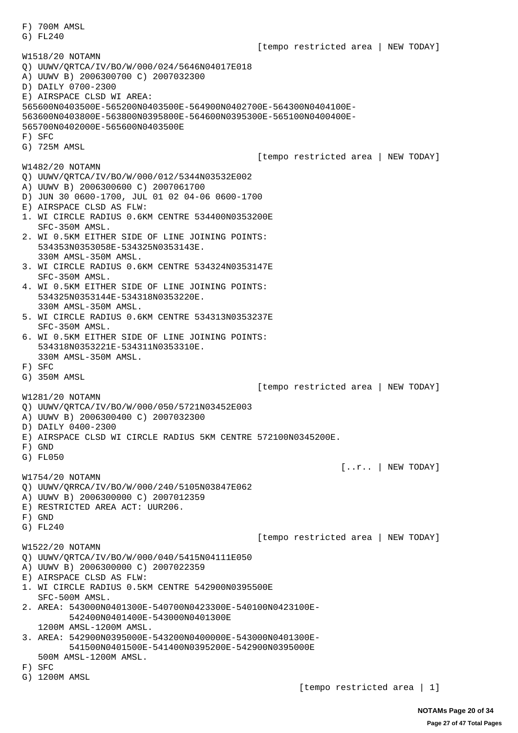F) 700M AMSL G) FL240 [tempo restricted area | NEW TODAY] W1518/20 NOTAMN Q) UUWV/QRTCA/IV/BO/W/000/024/5646N04017E018 A) UUWV B) 2006300700 C) 2007032300 D) DAILY 0700-2300 E) AIRSPACE CLSD WI AREA: 565600N0403500E-565200N0403500E-564900N0402700E-564300N0404100E-563600N0403800E-563800N0395800E-564600N0395300E-565100N0400400E-565700N0402000E-565600N0403500E F) SFC G) 725M AMSL [tempo restricted area | NEW TODAY] W1482/20 NOTAMN Q) UUWV/QRTCA/IV/BO/W/000/012/5344N03532E002 A) UUWV B) 2006300600 C) 2007061700 D) JUN 30 0600-1700, JUL 01 02 04-06 0600-1700 E) AIRSPACE CLSD AS FLW: 1. WI CIRCLE RADIUS 0.6KM CENTRE 534400N0353200E SFC-350M AMSL. 2. WI 0.5KM EITHER SIDE OF LINE JOINING POINTS: 534353N0353058E-534325N0353143E. 330M AMSL-350M AMSL. 3. WI CIRCLE RADIUS 0.6KM CENTRE 534324N0353147E SFC-350M AMSL. 4. WI 0.5KM EITHER SIDE OF LINE JOINING POINTS: 534325N0353144E-534318N0353220E. 330M AMSL-350M AMSL. 5. WI CIRCLE RADIUS 0.6KM CENTRE 534313N0353237E SFC-350M AMSL. 6. WI 0.5KM EITHER SIDE OF LINE JOINING POINTS: 534318N0353221E-534311N0353310E. 330M AMSL-350M AMSL. F) SFC G) 350M AMSL [tempo restricted area | NEW TODAY] W1281/20 NOTAMN Q) UUWV/QRTCA/IV/BO/W/000/050/5721N03452E003 A) UUWV B) 2006300400 C) 2007032300 D) DAILY 0400-2300 E) AIRSPACE CLSD WI CIRCLE RADIUS 5KM CENTRE 572100N0345200E. F) GND G) FL050  $[...r..]$  NEW TODAY] W1754/20 NOTAMN Q) UUWV/QRRCA/IV/BO/W/000/240/5105N03847E062 A) UUWV B) 2006300000 C) 2007012359 E) RESTRICTED AREA ACT: UUR206. F) GND G) FL240 [tempo restricted area | NEW TODAY] W1522/20 NOTAMN Q) UUWV/QRTCA/IV/BO/W/000/040/5415N04111E050 A) UUWV B) 2006300000 C) 2007022359 E) AIRSPACE CLSD AS FLW: 1. WI CIRCLE RADIUS 0.5KM CENTRE 542900N0395500E SFC-500M AMSL. 2. AREA: 543000N0401300E-540700N0423300E-540100N0423100E- 542400N0401400E-543000N0401300E 1200M AMSL-1200M AMSL. 3. AREA: 542900N0395000E-543200N0400000E-543000N0401300E- 541500N0401500E-541400N0395200E-542900N0395000E 500M AMSL-1200M AMSL. F) SFC G) 1200M AMSL [tempo restricted area | 1]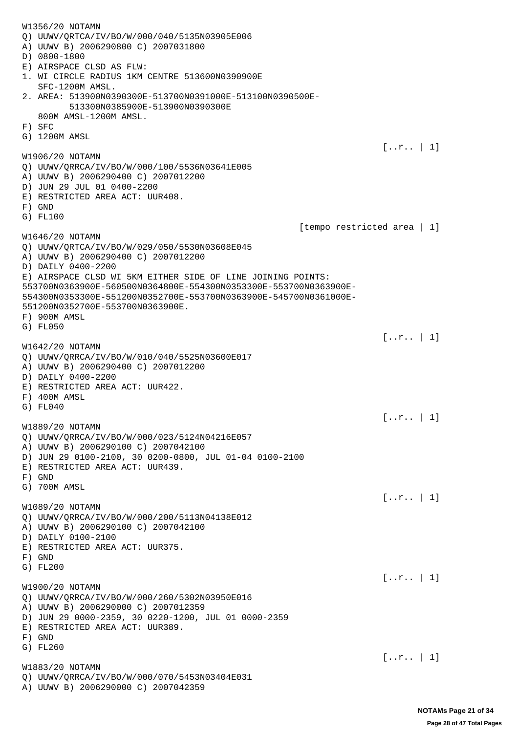W1356/20 NOTAMN Q) UUWV/QRTCA/IV/BO/W/000/040/5135N03905E006 A) UUWV B) 2006290800 C) 2007031800 D) 0800-1800 E) AIRSPACE CLSD AS FLW: 1. WI CIRCLE RADIUS 1KM CENTRE 513600N0390900E SFC-1200M AMSL. 2. AREA: 513900N0390300E-513700N0391000E-513100N0390500E- 513300N0385900E-513900N0390300E 800M AMSL-1200M AMSL. F) SFC G) 1200M AMSL [..r.. | 1] W1906/20 NOTAMN Q) UUWV/QRRCA/IV/BO/W/000/100/5536N03641E005 A) UUWV B) 2006290400 C) 2007012200 D) JUN 29 JUL 01 0400-2200 E) RESTRICTED AREA ACT: UUR408. F) GND G) FL100 [tempo restricted area | 1] W1646/20 NOTAMN Q) UUWV/QRTCA/IV/BO/W/029/050/5530N03608E045 A) UUWV B) 2006290400 C) 2007012200 D) DAILY 0400-2200 E) AIRSPACE CLSD WI 5KM EITHER SIDE OF LINE JOINING POINTS: 553700N0363900E-560500N0364800E-554300N0353300E-553700N0363900E-554300N0353300E-551200N0352700E-553700N0363900E-545700N0361000E-551200N0352700E-553700N0363900E. F) 900M AMSL G) FL050 [..r.. | 1] W1642/20 NOTAMN Q) UUWV/QRRCA/IV/BO/W/010/040/5525N03600E017 A) UUWV B) 2006290400 C) 2007012200 D) DAILY 0400-2200 E) RESTRICTED AREA ACT: UUR422. F) 400M AMSL G) FL040  $[...r.. 1]$ W1889/20 NOTAMN Q) UUWV/QRRCA/IV/BO/W/000/023/5124N04216E057 A) UUWV B) 2006290100 C) 2007042100 D) JUN 29 0100-2100, 30 0200-0800, JUL 01-04 0100-2100 E) RESTRICTED AREA ACT: UUR439. F) GND G) 700M AMSL  $[...r.. 1]$ W1089/20 NOTAMN Q) UUWV/QRRCA/IV/BO/W/000/200/5113N04138E012 A) UUWV B) 2006290100 C) 2007042100 D) DAILY 0100-2100 E) RESTRICTED AREA ACT: UUR375. F) GND G) FL200  $[...r.. 1]$ W1900/20 NOTAMN Q) UUWV/QRRCA/IV/BO/W/000/260/5302N03950E016 A) UUWV B) 2006290000 C) 2007012359 D) JUN 29 0000-2359, 30 0220-1200, JUL 01 0000-2359 E) RESTRICTED AREA ACT: UUR389. F) GND G) FL260  $[...r.. 1]$ W1883/20 NOTAMN Q) UUWV/QRRCA/IV/BO/W/000/070/5453N03404E031 A) UUWV B) 2006290000 C) 2007042359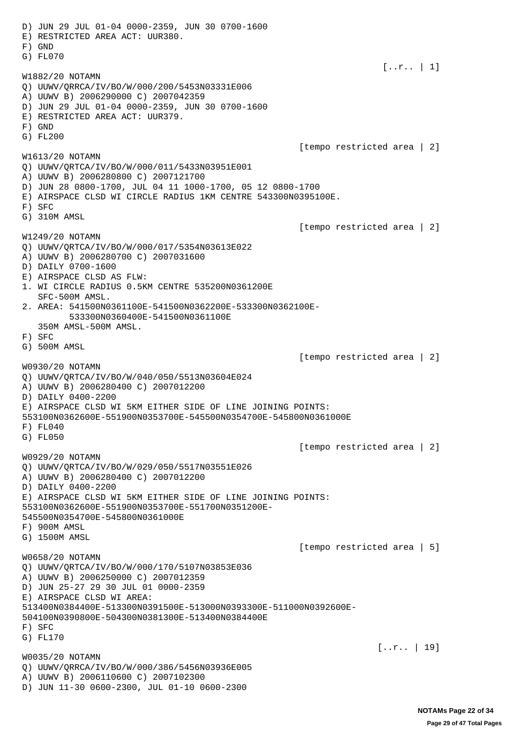D) JUN 29 JUL 01-04 0000-2359, JUN 30 0700-1600 E) RESTRICTED AREA ACT: UUR380. F) GND G) FL070  $[...r.. 1]$ W1882/20 NOTAMN Q) UUWV/QRRCA/IV/BO/W/000/200/5453N03331E006 A) UUWV B) 2006290000 C) 2007042359 D) JUN 29 JUL 01-04 0000-2359, JUN 30 0700-1600 E) RESTRICTED AREA ACT: UUR379. F) GND G) FL200 [tempo restricted area | 2] W1613/20 NOTAMN Q) UUWV/QRTCA/IV/BO/W/000/011/5433N03951E001 A) UUWV B) 2006280800 C) 2007121700 D) JUN 28 0800-1700, JUL 04 11 1000-1700, 05 12 0800-1700 E) AIRSPACE CLSD WI CIRCLE RADIUS 1KM CENTRE 543300N0395100E. F) SFC G) 310M AMSL [tempo restricted area | 2] W1249/20 NOTAMN Q) UUWV/QRTCA/IV/BO/W/000/017/5354N03613E022 A) UUWV B) 2006280700 C) 2007031600 D) DAILY 0700-1600 E) AIRSPACE CLSD AS FLW: 1. WI CIRCLE RADIUS 0.5KM CENTRE 535200N0361200E SFC-500M AMSL. 2. AREA: 541500N0361100E-541500N0362200E-533300N0362100E- 533300N0360400E-541500N0361100E 350M AMSL-500M AMSL. F) SFC G) 500M AMSL [tempo restricted area | 2] W0930/20 NOTAMN Q) UUWV/QRTCA/IV/BO/W/040/050/5513N03604E024 A) UUWV B) 2006280400 C) 2007012200 D) DAILY 0400-2200 E) AIRSPACE CLSD WI 5KM EITHER SIDE OF LINE JOINING POINTS: 553100N0362600E-551900N0353700E-545500N0354700E-545800N0361000E  $F$ )  $F1,040$ G) FL050 [tempo restricted area | 2] W0929/20 NOTAMN Q) UUWV/QRTCA/IV/BO/W/029/050/5517N03551E026 A) UUWV B) 2006280400 C) 2007012200 D) DAILY 0400-2200 E) AIRSPACE CLSD WI 5KM EITHER SIDE OF LINE JOINING POINTS: 553100N0362600E-551900N0353700E-551700N0351200E-545500N0354700E-545800N0361000E F) 900M AMSL G) 1500M AMSL [tempo restricted area | 5] W0658/20 NOTAMN Q) UUWV/QRTCA/IV/BO/W/000/170/5107N03853E036 A) UUWV B) 2006250000 C) 2007012359 D) JUN 25-27 29 30 JUL 01 0000-2359 E) AIRSPACE CLSD WI AREA: 513400N0384400E-513300N0391500E-513000N0393300E-511000N0392600E-504100N0390800E-504300N0381300E-513400N0384400E F) SFC G) FL170  $[...r.. 19]$ W0035/20 NOTAMN Q) UUWV/QRRCA/IV/BO/W/000/386/5456N03936E005 A) UUWV B) 2006110600 C) 2007102300 D) JUN 11-30 0600-2300, JUL 01-10 0600-2300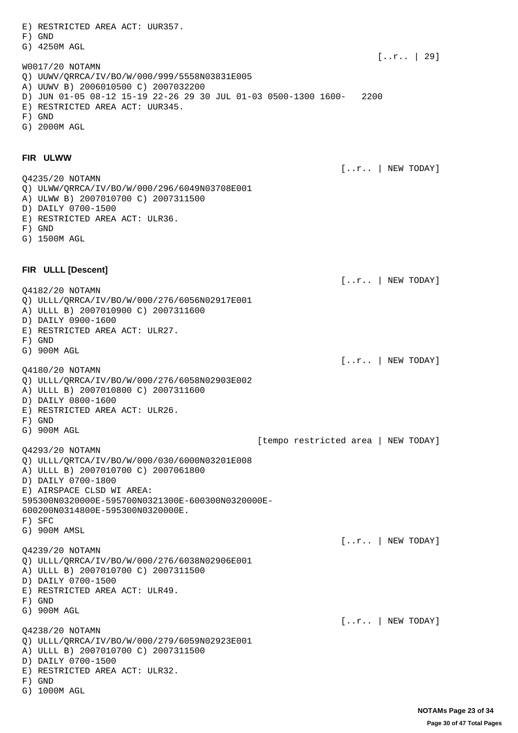E) RESTRICTED AREA ACT: UUR357. F) GND G) 4250M AGL  $[...r.. 29]$ W0017/20 NOTAMN Q) UUWV/QRRCA/IV/BO/W/000/999/5558N03831E005 A) UUWV B) 2006010500 C) 2007032200 D) JUN 01-05 08-12 15-19 22-26 29 30 JUL 01-03 0500-1300 1600- 2200 E) RESTRICTED AREA ACT: UUR345. F) GND G) 2000M AGL **FIR ULWW** [..r.. | NEW TODAY] Q4235/20 NOTAMN Q) ULWW/QRRCA/IV/BO/W/000/296/6049N03708E001 A) ULWW B) 2007010700 C) 2007311500 D) DAILY 0700-1500 E) RESTRICTED AREA ACT: ULR36. F) GND G) 1500M AGL **FIR ULLL [Descent]**  [..r.. | NEW TODAY] Q4182/20 NOTAMN Q) ULLL/QRRCA/IV/BO/W/000/276/6056N02917E001 A) ULLL B) 2007010900 C) 2007311600 D) DAILY 0900-1600 E) RESTRICTED AREA ACT: ULR27. F) GND G) 900M AGL [..r.. | NEW TODAY] Q4180/20 NOTAMN Q) ULLL/QRRCA/IV/BO/W/000/276/6058N02903E002 A) ULLL B) 2007010800 C) 2007311600 D) DAILY 0800-1600 E) RESTRICTED AREA ACT: ULR26. F) GND G) 900M AGL [tempo restricted area | NEW TODAY] Q4293/20 NOTAMN Q) ULLL/QRTCA/IV/BO/W/000/030/6000N03201E008 A) ULLL B) 2007010700 C) 2007061800 D) DAILY 0700-1800 E) AIRSPACE CLSD WI AREA: 595300N0320000E-595700N0321300E-600300N0320000E-600200N0314800E-595300N0320000E. F) SFC G) 900M AMSL [..r.. | NEW TODAY] Q4239/20 NOTAMN Q) ULLL/QRRCA/IV/BO/W/000/276/6038N02906E001 A) ULLL B) 2007010700 C) 2007311500 D) DAILY 0700-1500 E) RESTRICTED AREA ACT: ULR49. F) GND G) 900M AGL  $[...r..]$  NEW TODAY] Q4238/20 NOTAMN Q) ULLL/QRRCA/IV/BO/W/000/279/6059N02923E001 A) ULLL B) 2007010700 C) 2007311500 D) DAILY 0700-1500 E) RESTRICTED AREA ACT: ULR32. F) GND

G) 1000M AGL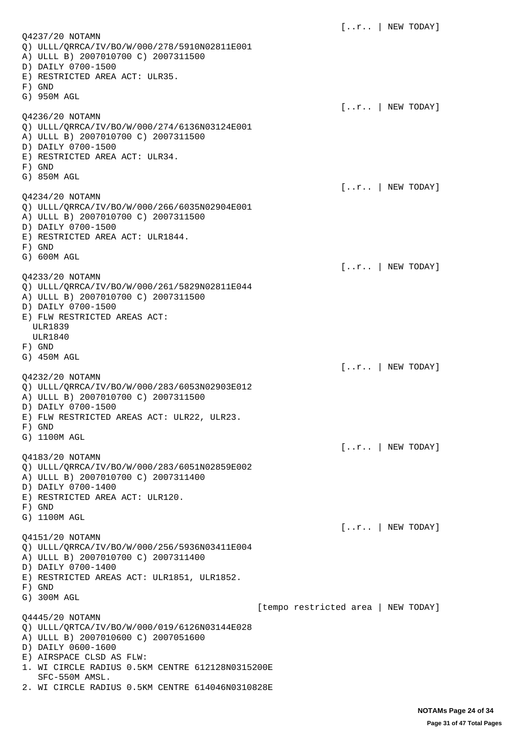$[...r..]$  NEW TODAY] Q4237/20 NOTAMN Q) ULLL/QRRCA/IV/BO/W/000/278/5910N02811E001 A) ULLL B) 2007010700 C) 2007311500 D) DAILY 0700-1500 E) RESTRICTED AREA ACT: ULR35. F) GND G) 950M AGL  $[...r..]$  NEW TODAY] Q4236/20 NOTAMN Q) ULLL/QRRCA/IV/BO/W/000/274/6136N03124E001 A) ULLL B) 2007010700 C) 2007311500 D) DAILY 0700-1500 E) RESTRICTED AREA ACT: ULR34. F) GND G) 850M AGL [..r.. | NEW TODAY] Q4234/20 NOTAMN Q) ULLL/QRRCA/IV/BO/W/000/266/6035N02904E001 A) ULLL B) 2007010700 C) 2007311500 D) DAILY 0700-1500 E) RESTRICTED AREA ACT: ULR1844. F) GND G) 600M AGL [..r.. | NEW TODAY] Q4233/20 NOTAMN Q) ULLL/QRRCA/IV/BO/W/000/261/5829N02811E044 A) ULLL B) 2007010700 C) 2007311500 D) DAILY 0700-1500 E) FLW RESTRICTED AREAS ACT: ULR1839 ULR1840 F) GND G) 450M AGL  $[...r..]$  NEW TODAY] Q4232/20 NOTAMN Q) ULLL/QRRCA/IV/BO/W/000/283/6053N02903E012 A) ULLL B) 2007010700 C) 2007311500 D) DAILY 0700-1500 E) FLW RESTRICTED AREAS ACT: ULR22, ULR23. F) GND G) 1100M AGL [..r.. | NEW TODAY] Q4183/20 NOTAMN Q) ULLL/QRRCA/IV/BO/W/000/283/6051N02859E002 A) ULLL B) 2007010700 C) 2007311400 D) DAILY 0700-1400 E) RESTRICTED AREA ACT: ULR120. F) GND G) 1100M AGL  $[...r..]$  NEW TODAY] Q4151/20 NOTAMN Q) ULLL/QRRCA/IV/BO/W/000/256/5936N03411E004 A) ULLL B) 2007010700 C) 2007311400 D) DAILY 0700-1400 E) RESTRICTED AREAS ACT: ULR1851, ULR1852. F) GND G) 300M AGL [tempo restricted area | NEW TODAY] Q4445/20 NOTAMN Q) ULLL/QRTCA/IV/BO/W/000/019/6126N03144E028 A) ULLL B) 2007010600 C) 2007051600 D) DAILY 0600-1600 E) AIRSPACE CLSD AS FLW: 1. WI CIRCLE RADIUS 0.5KM CENTRE 612128N0315200E SFC-550M AMSL. 2. WI CIRCLE RADIUS 0.5KM CENTRE 614046N0310828E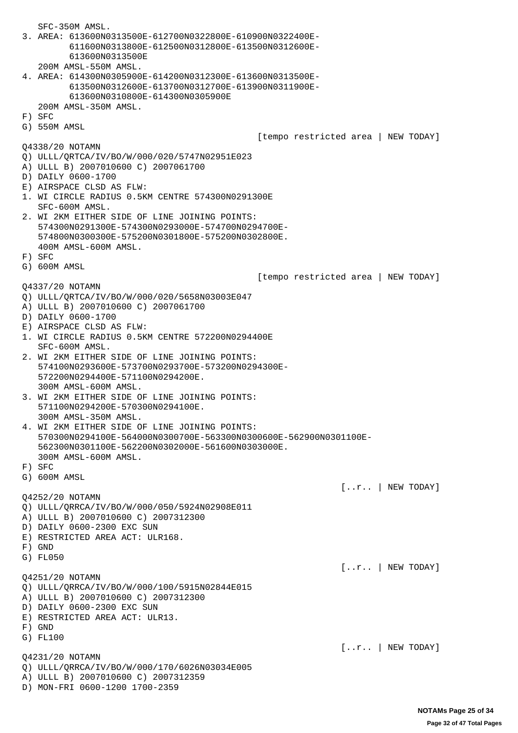SFC-350M AMSL. 3. AREA: 613600N0313500E-612700N0322800E-610900N0322400E- 611600N0313800E-612500N0312800E-613500N0312600E- 613600N0313500E 200M AMSL-550M AMSL. 4. AREA: 614300N0305900E-614200N0312300E-613600N0313500E- 613500N0312600E-613700N0312700E-613900N0311900E- 613600N0310800E-614300N0305900E 200M AMSL-350M AMSL. F) SFC G) 550M AMSL [tempo restricted area | NEW TODAY] Q4338/20 NOTAMN Q) ULLL/QRTCA/IV/BO/W/000/020/5747N02951E023 A) ULLL B) 2007010600 C) 2007061700 D) DAILY 0600-1700 E) AIRSPACE CLSD AS FLW: 1. WI CIRCLE RADIUS 0.5KM CENTRE 574300N0291300E SFC-600M AMSL. 2. WI 2KM EITHER SIDE OF LINE JOINING POINTS: 574300N0291300E-574300N0293000E-574700N0294700E- 574800N0300300E-575200N0301800E-575200N0302800E. 400M AMSL-600M AMSL. F) SFC G) 600M AMSL [tempo restricted area | NEW TODAY] Q4337/20 NOTAMN Q) ULLL/QRTCA/IV/BO/W/000/020/5658N03003E047 A) ULLL B) 2007010600 C) 2007061700 D) DAILY 0600-1700 E) AIRSPACE CLSD AS FLW: 1. WI CIRCLE RADIUS 0.5KM CENTRE 572200N0294400E SFC-600M AMSL. 2. WI 2KM EITHER SIDE OF LINE JOINING POINTS: 574100N0293600E-573700N0293700E-573200N0294300E- 572200N0294400E-571100N0294200E. 300M AMSL-600M AMSL. 3. WI 2KM EITHER SIDE OF LINE JOINING POINTS: 571100N0294200E-570300N0294100E. 300M AMSL-350M AMSL. 4. WI 2KM EITHER SIDE OF LINE JOINING POINTS: 570300N0294100E-564000N0300700E-563300N0300600E-562900N0301100E- 562300N0301100E-562200N0302000E-561600N0303000E. 300M AMSL-600M AMSL. F) SFC G) 600M AMSL  $[...r..]$  NEW TODAY] Q4252/20 NOTAMN Q) ULLL/QRRCA/IV/BO/W/000/050/5924N02908E011 A) ULLL B) 2007010600 C) 2007312300 D) DAILY 0600-2300 EXC SUN E) RESTRICTED AREA ACT: ULR168. F) GND G) FL050 [..r.. | NEW TODAY] Q4251/20 NOTAMN Q) ULLL/QRRCA/IV/BO/W/000/100/5915N02844E015 A) ULLL B) 2007010600 C) 2007312300 D) DAILY 0600-2300 EXC SUN E) RESTRICTED AREA ACT: ULR13. F) GND G) FL100 [..r.. | NEW TODAY] Q4231/20 NOTAMN Q) ULLL/QRRCA/IV/BO/W/000/170/6026N03034E005 A) ULLL B) 2007010600 C) 2007312359 D) MON-FRI 0600-1200 1700-2359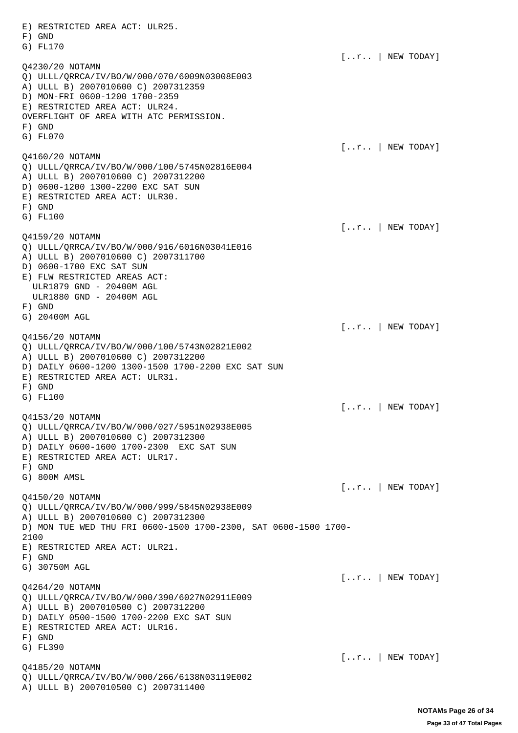E) RESTRICTED AREA ACT: ULR25. F) GND G) FL170 [..r.. | NEW TODAY] Q4230/20 NOTAMN Q) ULLL/QRRCA/IV/BO/W/000/070/6009N03008E003 A) ULLL B) 2007010600 C) 2007312359 D) MON-FRI 0600-1200 1700-2359 E) RESTRICTED AREA ACT: ULR24. OVERFLIGHT OF AREA WITH ATC PERMISSION. F) GND G) FL070 [..r.. | NEW TODAY] Q4160/20 NOTAMN Q) ULLL/QRRCA/IV/BO/W/000/100/5745N02816E004 A) ULLL B) 2007010600 C) 2007312200 D) 0600-1200 1300-2200 EXC SAT SUN E) RESTRICTED AREA ACT: ULR30. F) GND G) FL100  $[...r..]$  NEW TODAY] Q4159/20 NOTAMN Q) ULLL/QRRCA/IV/BO/W/000/916/6016N03041E016 A) ULLL B) 2007010600 C) 2007311700 D) 0600-1700 EXC SAT SUN E) FLW RESTRICTED AREAS ACT: ULR1879 GND - 20400M AGL ULR1880 GND - 20400M AGL F) GND G) 20400M AGL  $[...r..]$  NEW TODAY] Q4156/20 NOTAMN Q) ULLL/QRRCA/IV/BO/W/000/100/5743N02821E002 A) ULLL B) 2007010600 C) 2007312200 D) DAILY 0600-1200 1300-1500 1700-2200 EXC SAT SUN E) RESTRICTED AREA ACT: ULR31. F) GND G) FL100 [..r.. | NEW TODAY] Q4153/20 NOTAMN Q) ULLL/QRRCA/IV/BO/W/000/027/5951N02938E005 A) ULLL B) 2007010600 C) 2007312300 D) DAILY 0600-1600 1700-2300 EXC SAT SUN E) RESTRICTED AREA ACT: ULR17. F) GND G) 800M AMSL [..r.. | NEW TODAY] Q4150/20 NOTAMN Q) ULLL/QRRCA/IV/BO/W/000/999/5845N02938E009 A) ULLL B) 2007010600 C) 2007312300 D) MON TUE WED THU FRI 0600-1500 1700-2300, SAT 0600-1500 1700- 2100 E) RESTRICTED AREA ACT: ULR21. F) GND G) 30750M AGL [..r.. | NEW TODAY] Q4264/20 NOTAMN Q) ULLL/QRRCA/IV/BO/W/000/390/6027N02911E009 A) ULLL B) 2007010500 C) 2007312200 D) DAILY 0500-1500 1700-2200 EXC SAT SUN E) RESTRICTED AREA ACT: ULR16. F) GND G) FL390  $[...r..]$  NEW TODAY] Q4185/20 NOTAMN Q) ULLL/QRRCA/IV/BO/W/000/266/6138N03119E002 A) ULLL B) 2007010500 C) 2007311400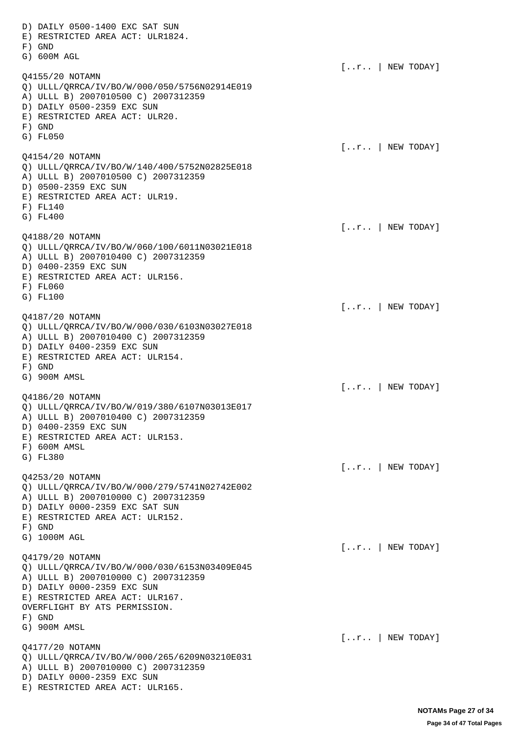D) DAILY 0500-1400 EXC SAT SUN E) RESTRICTED AREA ACT: ULR1824. F) GND G) 600M AGL [..r.. | NEW TODAY] Q4155/20 NOTAMN Q) ULLL/QRRCA/IV/BO/W/000/050/5756N02914E019 A) ULLL B) 2007010500 C) 2007312359 D) DAILY 0500-2359 EXC SUN E) RESTRICTED AREA ACT: ULR20. F) GND G) FL050 [..r.. | NEW TODAY] Q4154/20 NOTAMN Q) ULLL/QRRCA/IV/BO/W/140/400/5752N02825E018 A) ULLL B) 2007010500 C) 2007312359 D) 0500-2359 EXC SUN E) RESTRICTED AREA ACT: ULR19. F) FL140 G) FL400 [..r.. | NEW TODAY] Q4188/20 NOTAMN Q) ULLL/QRRCA/IV/BO/W/060/100/6011N03021E018 A) ULLL B) 2007010400 C) 2007312359 D) 0400-2359 EXC SUN E) RESTRICTED AREA ACT: ULR156. F) FL060 G) FL100  $[...r..]$  NEW TODAY] Q4187/20 NOTAMN Q) ULLL/QRRCA/IV/BO/W/000/030/6103N03027E018 A) ULLL B) 2007010400 C) 2007312359 D) DAILY 0400-2359 EXC SUN E) RESTRICTED AREA ACT: ULR154. F) GND G) 900M AMSL [..r.. | NEW TODAY] Q4186/20 NOTAMN Q) ULLL/QRRCA/IV/BO/W/019/380/6107N03013E017 A) ULLL B) 2007010400 C) 2007312359 D) 0400-2359 EXC SUN E) RESTRICTED AREA ACT: ULR153. F) 600M AMSL G) FL380 [..r.. | NEW TODAY] Q4253/20 NOTAMN Q) ULLL/QRRCA/IV/BO/W/000/279/5741N02742E002 A) ULLL B) 2007010000 C) 2007312359 D) DAILY 0000-2359 EXC SAT SUN E) RESTRICTED AREA ACT: ULR152. F) GND G) 1000M AGL [..r.. | NEW TODAY] Q4179/20 NOTAMN Q) ULLL/QRRCA/IV/BO/W/000/030/6153N03409E045 A) ULLL B) 2007010000 C) 2007312359 D) DAILY 0000-2359 EXC SUN E) RESTRICTED AREA ACT: ULR167. OVERFLIGHT BY ATS PERMISSION. F) GND G) 900M AMSL [..r.. | NEW TODAY] Q4177/20 NOTAMN Q) ULLL/QRRCA/IV/BO/W/000/265/6209N03210E031 A) ULLL B) 2007010000 C) 2007312359 D) DAILY 0000-2359 EXC SUN E) RESTRICTED AREA ACT: ULR165.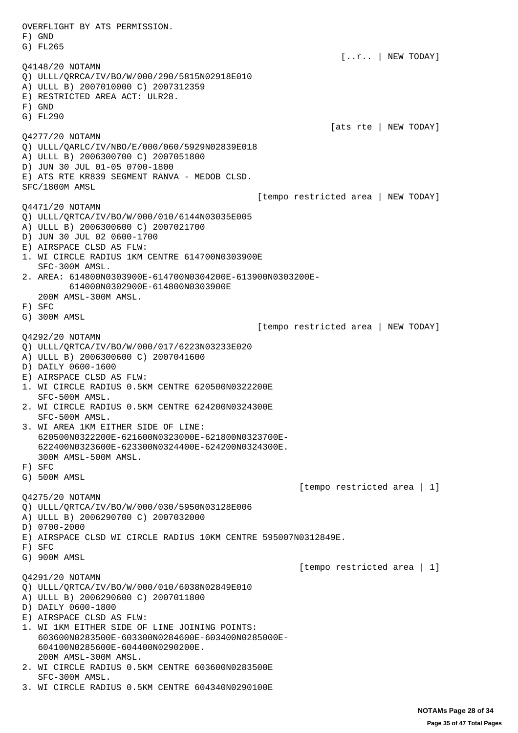OVERFLIGHT BY ATS PERMISSION. F) GND G) FL265 [..r.. | NEW TODAY] Q4148/20 NOTAMN Q) ULLL/QRRCA/IV/BO/W/000/290/5815N02918E010 A) ULLL B) 2007010000 C) 2007312359 E) RESTRICTED AREA ACT: ULR28. F) GND G) FL290 [ats rte | NEW TODAY] Q4277/20 NOTAMN Q) ULLL/QARLC/IV/NBO/E/000/060/5929N02839E018 A) ULLL B) 2006300700 C) 2007051800 D) JUN 30 JUL 01-05 0700-1800 E) ATS RTE KR839 SEGMENT RANVA - MEDOB CLSD. SFC/1800M AMSL [tempo restricted area | NEW TODAY] Q4471/20 NOTAMN Q) ULLL/QRTCA/IV/BO/W/000/010/6144N03035E005 A) ULLL B) 2006300600 C) 2007021700 D) JUN 30 JUL 02 0600-1700 E) AIRSPACE CLSD AS FLW: 1. WI CIRCLE RADIUS 1KM CENTRE 614700N0303900E SFC-300M AMSL. 2. AREA: 614800N0303900E-614700N0304200E-613900N0303200E- 614000N0302900E-614800N0303900E 200M AMSL-300M AMSL. F) SFC G) 300M AMSL [tempo restricted area | NEW TODAY] Q4292/20 NOTAMN Q) ULLL/QRTCA/IV/BO/W/000/017/6223N03233E020 A) ULLL B) 2006300600 C) 2007041600 D) DAILY 0600-1600 E) AIRSPACE CLSD AS FLW: 1. WI CIRCLE RADIUS 0.5KM CENTRE 620500N0322200E SFC-500M AMSL. 2. WI CIRCLE RADIUS 0.5KM CENTRE 624200N0324300E SFC-500M AMSL. 3. WI AREA 1KM EITHER SIDE OF LINE: 620500N0322200E-621600N0323000E-621800N0323700E- 622400N0323600E-623300N0324400E-624200N0324300E. 300M AMSL-500M AMSL. F) SFC G) 500M AMSL [tempo restricted area | 1] Q4275/20 NOTAMN Q) ULLL/QRTCA/IV/BO/W/000/030/5950N03128E006 A) ULLL B) 2006290700 C) 2007032000 D) 0700-2000 E) AIRSPACE CLSD WI CIRCLE RADIUS 10KM CENTRE 595007N0312849E. F) SFC G) 900M AMSL [tempo restricted area | 1] Q4291/20 NOTAMN Q) ULLL/QRTCA/IV/BO/W/000/010/6038N02849E010 A) ULLL B) 2006290600 C) 2007011800 D) DAILY 0600-1800 E) AIRSPACE CLSD AS FLW: 1. WI 1KM EITHER SIDE OF LINE JOINING POINTS: 603600N0283500E-603300N0284600E-603400N0285000E- 604100N0285600E-604400N0290200E. 200M AMSL-300M AMSL. 2. WI CIRCLE RADIUS 0.5KM CENTRE 603600N0283500E SFC-300M AMSL. 3. WI CIRCLE RADIUS 0.5KM CENTRE 604340N0290100E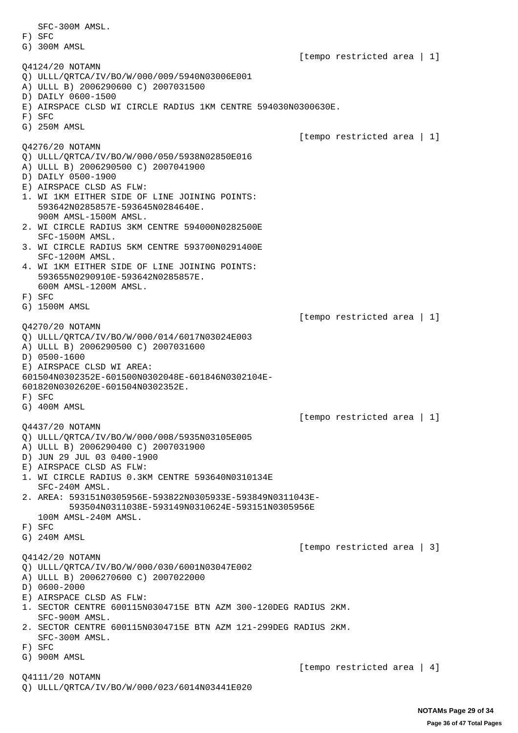SFC-300M AMSL. F) SFC G) 300M AMSL [tempo restricted area | 1] Q4124/20 NOTAMN Q) ULLL/QRTCA/IV/BO/W/000/009/5940N03006E001 A) ULLL B) 2006290600 C) 2007031500 D) DAILY 0600-1500 E) AIRSPACE CLSD WI CIRCLE RADIUS 1KM CENTRE 594030N0300630E. F) SFC G) 250M AMSL [tempo restricted area | 1] Q4276/20 NOTAMN Q) ULLL/QRTCA/IV/BO/W/000/050/5938N02850E016 A) ULLL B) 2006290500 C) 2007041900 D) DAILY 0500-1900 E) AIRSPACE CLSD AS FLW: 1. WI 1KM EITHER SIDE OF LINE JOINING POINTS: 593642N0285857E-593645N0284640E. 900M AMSL-1500M AMSL. 2. WI CIRCLE RADIUS 3KM CENTRE 594000N0282500E SFC-1500M AMSL. 3. WI CIRCLE RADIUS 5KM CENTRE 593700N0291400E SFC-1200M AMSL. 4. WI 1KM EITHER SIDE OF LINE JOINING POINTS: 593655N0290910E-593642N0285857E. 600M AMSL-1200M AMSL. F) SFC G) 1500M AMSL [tempo restricted area | 1] Q4270/20 NOTAMN Q) ULLL/QRTCA/IV/BO/W/000/014/6017N03024E003 A) ULLL B) 2006290500 C) 2007031600 D) 0500-1600 E) AIRSPACE CLSD WI AREA: 601504N0302352E-601500N0302048E-601846N0302104E-601820N0302620E-601504N0302352E. F) SFC G) 400M AMSL [tempo restricted area | 1] Q4437/20 NOTAMN Q) ULLL/QRTCA/IV/BO/W/000/008/5935N03105E005 A) ULLL B) 2006290400 C) 2007031900 D) JUN 29 JUL 03 0400-1900 E) AIRSPACE CLSD AS FLW: 1. WI CIRCLE RADIUS 0.3KM CENTRE 593640N0310134E SFC-240M AMSL. 2. AREA: 593151N0305956E-593822N0305933E-593849N0311043E- 593504N0311038E-593149N0310624E-593151N0305956E 100M AMSL-240M AMSL. F) SFC G) 240M AMSL [tempo restricted area | 3] Q4142/20 NOTAMN Q) ULLL/QRTCA/IV/BO/W/000/030/6001N03047E002 A) ULLL B) 2006270600 C) 2007022000 D) 0600-2000 E) AIRSPACE CLSD AS FLW: 1. SECTOR CENTRE 600115N0304715E BTN AZM 300-120DEG RADIUS 2KM. SFC-900M AMSL. 2. SECTOR CENTRE 600115N0304715E BTN AZM 121-299DEG RADIUS 2KM. SFC-300M AMSL. F) SFC G) 900M AMSL [tempo restricted area | 4] Q4111/20 NOTAMN Q) ULLL/QRTCA/IV/BO/W/000/023/6014N03441E020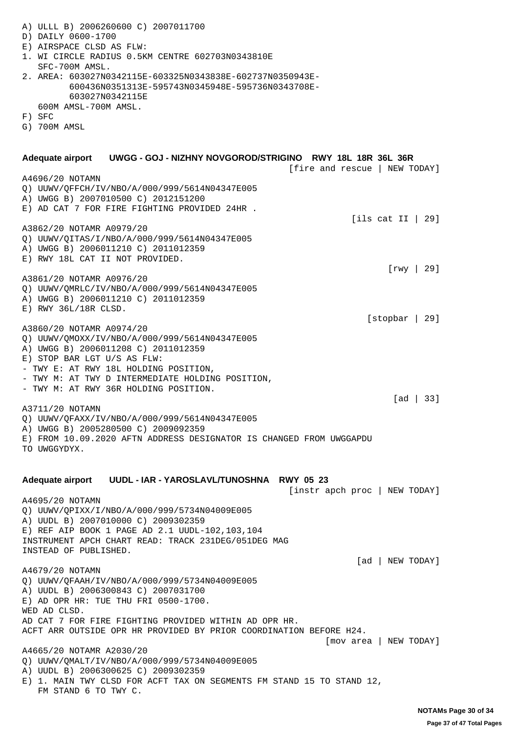A) ULLL B) 2006260600 C) 2007011700 D) DAILY 0600-1700 E) AIRSPACE CLSD AS FLW: 1. WI CIRCLE RADIUS 0.5KM CENTRE 602703N0343810E SFC-700M AMSL. 2. AREA: 603027N0342115E-603325N0343838E-602737N0350943E- 600436N0351313E-595743N0345948E-595736N0343708E- 603027N0342115E 600M AMSL-700M AMSL. F) SFC G) 700M AMSL **Adequate airport UWGG - GOJ - NIZHNY NOVGOROD/STRIGINO RWY 18L 18R 36L 36R** [fire and rescue | NEW TODAY] A4696/20 NOTAMN Q) UUWV/QFFCH/IV/NBO/A/000/999/5614N04347E005 A) UWGG B) 2007010500 C) 2012151200 E) AD CAT 7 FOR FIRE FIGHTING PROVIDED 24HR .  $[i]$ s cat II | 29] A3862/20 NOTAMR A0979/20 Q) UUWV/QITAS/I/NBO/A/000/999/5614N04347E005 A) UWGG B) 2006011210 C) 2011012359 E) RWY 18L CAT II NOT PROVIDED. [rwy | 29] A3861/20 NOTAMR A0976/20 Q) UUWV/QMRLC/IV/NBO/A/000/999/5614N04347E005 A) UWGG B) 2006011210 C) 2011012359 E) RWY 36L/18R CLSD. [stopbar | 29] A3860/20 NOTAMR A0974/20 Q) UUWV/QMOXX/IV/NBO/A/000/999/5614N04347E005 A) UWGG B) 2006011208 C) 2011012359 E) STOP BAR LGT U/S AS FLW: - TWY E: AT RWY 18L HOLDING POSITION, - TWY M: AT TWY D INTERMEDIATE HOLDING POSITION, - TWY M: AT RWY 36R HOLDING POSITION. [ad | 33] A3711/20 NOTAMN Q) UUWV/QFAXX/IV/NBO/A/000/999/5614N04347E005 A) UWGG B) 2005280500 C) 2009092359 E) FROM 10.09.2020 AFTN ADDRESS DESIGNATOR IS CHANGED FROM UWGGAPDU TO UWGGYDYX. **Adequate airport UUDL - IAR - YAROSLAVL/TUNOSHNA RWY 05 23** [instr apch proc | NEW TODAY] A4695/20 NOTAMN Q) UUWV/QPIXX/I/NBO/A/000/999/5734N04009E005 A) UUDL B) 2007010000 C) 2009302359 E) REF AIP BOOK 1 PAGE AD 2.1 UUDL-102,103,104 INSTRUMENT APCH CHART READ: TRACK 231DEG/051DEG MAG INSTEAD OF PUBLISHED. [ad | NEW TODAY] A4679/20 NOTAMN Q) UUWV/QFAAH/IV/NBO/A/000/999/5734N04009E005 A) UUDL B) 2006300843 C) 2007031700 E) AD OPR HR: TUE THU FRI 0500-1700. WED AD CLSD. AD CAT 7 FOR FIRE FIGHTING PROVIDED WITHIN AD OPR HR. ACFT ARR OUTSIDE OPR HR PROVIDED BY PRIOR COORDINATION BEFORE H24. [mov area | NEW TODAY] A4665/20 NOTAMR A2030/20 Q) UUWV/QMALT/IV/NBO/A/000/999/5734N04009E005 A) UUDL B) 2006300625 C) 2009302359 E) 1. MAIN TWY CLSD FOR ACFT TAX ON SEGMENTS FM STAND 15 TO STAND 12, FM STAND 6 TO TWY C.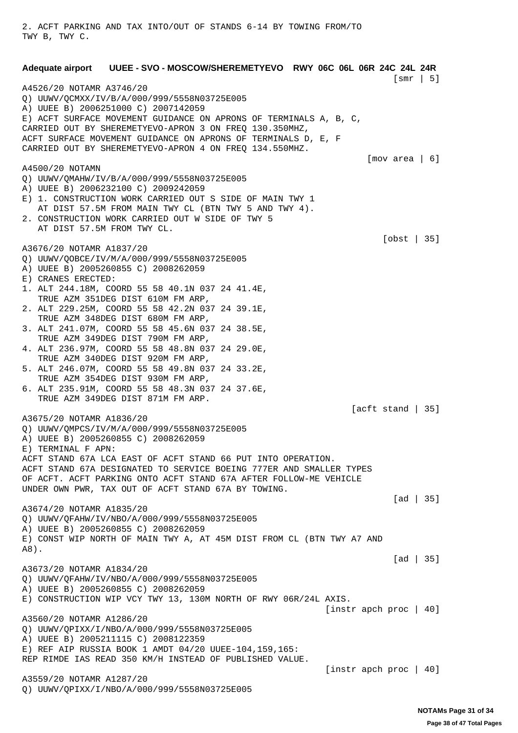TWY B, TWY C. **Adequate airport UUEE - SVO - MOSCOW/SHEREMETYEVO RWY 06C 06L 06R 24C 24L 24R** [smr | 5] A4526/20 NOTAMR A3746/20 Q) UUWV/QCMXX/IV/B/A/000/999/5558N03725E005 A) UUEE B) 2006251000 C) 2007142059 E) ACFT SURFACE MOVEMENT GUIDANCE ON APRONS OF TERMINALS A, B, C, CARRIED OUT BY SHEREMETYEVO-APRON 3 ON FREQ 130.350MHZ, ACFT SURFACE MOVEMENT GUIDANCE ON APRONS OF TERMINALS D, E, F CARRIED OUT BY SHEREMETYEVO-APRON 4 ON FREQ 134.550MHZ. [mov area | 6] A4500/20 NOTAMN Q) UUWV/QMAHW/IV/B/A/000/999/5558N03725E005 A) UUEE B) 2006232100 C) 2009242059 E) 1. CONSTRUCTION WORK CARRIED OUT S SIDE OF MAIN TWY 1 AT DIST 57.5M FROM MAIN TWY CL (BTN TWY 5 AND TWY 4). 2. CONSTRUCTION WORK CARRIED OUT W SIDE OF TWY 5 AT DIST 57.5M FROM TWY CL. [obst | 35] A3676/20 NOTAMR A1837/20 Q) UUWV/QOBCE/IV/M/A/000/999/5558N03725E005 A) UUEE B) 2005260855 C) 2008262059 E) CRANES ERECTED: 1. ALT 244.18M, COORD 55 58 40.1N 037 24 41.4E, TRUE AZM 351DEG DIST 610M FM ARP, 2. ALT 229.25M, COORD 55 58 42.2N 037 24 39.1E, TRUE AZM 348DEG DIST 680M FM ARP, 3. ALT 241.07M, COORD 55 58 45.6N 037 24 38.5E, TRUE AZM 349DEG DIST 790M FM ARP, 4. ALT 236.97M, COORD 55 58 48.8N 037 24 29.0E, TRUE AZM 340DEG DIST 920M FM ARP, 5. ALT 246.07M, COORD 55 58 49.8N 037 24 33.2E, TRUE AZM 354DEG DIST 930M FM ARP, 6. ALT 235.91M, COORD 55 58 48.3N 037 24 37.6E, TRUE AZM 349DEG DIST 871M FM ARP. [acft stand | 35] A3675/20 NOTAMR A1836/20 Q) UUWV/QMPCS/IV/M/A/000/999/5558N03725E005 A) UUEE B) 2005260855 C) 2008262059 E) TERMINAL F APN: ACFT STAND 67A LCA EAST OF ACFT STAND 66 PUT INTO OPERATION. ACFT STAND 67A DESIGNATED TO SERVICE BOEING 777ER AND SMALLER TYPES OF ACFT. ACFT PARKING ONTO ACFT STAND 67A AFTER FOLLOW-ME VEHICLE UNDER OWN PWR, TAX OUT OF ACFT STAND 67A BY TOWING. [ad | 35] A3674/20 NOTAMR A1835/20 Q) UUWV/QFAHW/IV/NBO/A/000/999/5558N03725E005 A) UUEE B) 2005260855 C) 2008262059 E) CONST WIP NORTH OF MAIN TWY A, AT 45M DIST FROM CL (BTN TWY A7 AND A8).  $\lceil \text{ad} \rceil$  35] A3673/20 NOTAMR A1834/20 Q) UUWV/QFAHW/IV/NBO/A/000/999/5558N03725E005 A) UUEE B) 2005260855 C) 2008262059 E) CONSTRUCTION WIP VCY TWY 13, 130M NORTH OF RWY 06R/24L AXIS. [instr apch proc | 40] A3560/20 NOTAMR A1286/20 Q) UUWV/QPIXX/I/NBO/A/000/999/5558N03725E005 A) UUEE B) 2005211115 C) 2008122359 E) REF AIP RUSSIA BOOK 1 AMDT 04/20 UUEE-104,159,165: REP RIMDE IAS READ 350 KM/H INSTEAD OF PUBLISHED VALUE. [instr apch proc | 40] A3559/20 NOTAMR A1287/20

Q) UUWV/QPIXX/I/NBO/A/000/999/5558N03725E005

2. ACFT PARKING AND TAX INTO/OUT OF STANDS 6-14 BY TOWING FROM/TO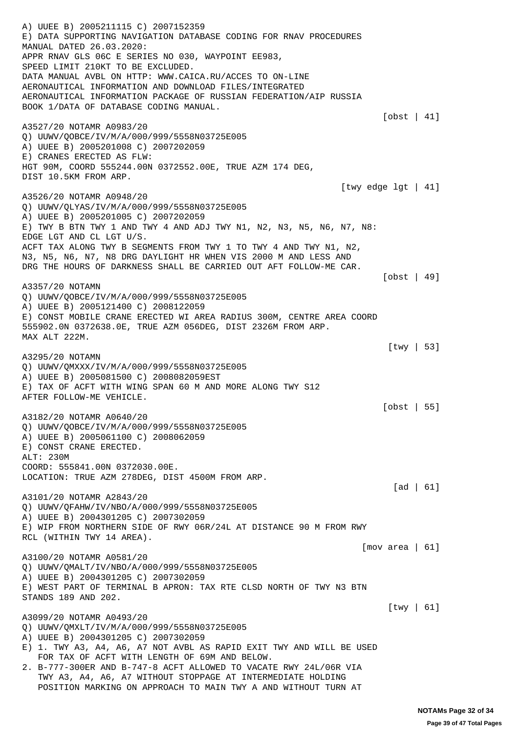A) UUEE B) 2005211115 C) 2007152359 E) DATA SUPPORTING NAVIGATION DATABASE CODING FOR RNAV PROCEDURES MANUAL DATED 26.03.2020: APPR RNAV GLS 06C E SERIES NO 030, WAYPOINT EE983, SPEED LIMIT 210KT TO BE EXCLUDED. DATA MANUAL AVBL ON HTTP: WWW.CAICA.RU/ACCES TO ON-LINE AERONAUTICAL INFORMATION AND DOWNLOAD FILES/INTEGRATED AERONAUTICAL INFORMATION PACKAGE OF RUSSIAN FEDERATION/AIP RUSSIA BOOK 1/DATA OF DATABASE CODING MANUAL. [obst | 41] A3527/20 NOTAMR A0983/20 Q) UUWV/QOBCE/IV/M/A/000/999/5558N03725E005 A) UUEE B) 2005201008 C) 2007202059 E) CRANES ERECTED AS FLW: HGT 90M, COORD 555244.00N 0372552.00E, TRUE AZM 174 DEG, DIST 10.5KM FROM ARP. [twy edge lgt | 41] A3526/20 NOTAMR A0948/20 Q) UUWV/QLYAS/IV/M/A/000/999/5558N03725E005 A) UUEE B) 2005201005 C) 2007202059 E) TWY B BTN TWY 1 AND TWY 4 AND ADJ TWY N1, N2, N3, N5, N6, N7, N8: EDGE LGT AND CL LGT U/S. ACFT TAX ALONG TWY B SEGMENTS FROM TWY 1 TO TWY 4 AND TWY N1, N2, N3, N5, N6, N7, N8 DRG DAYLIGHT HR WHEN VIS 2000 M AND LESS AND DRG THE HOURS OF DARKNESS SHALL BE CARRIED OUT AFT FOLLOW-ME CAR. [obst | 49] A3357/20 NOTAMN Q) UUWV/QOBCE/IV/M/A/000/999/5558N03725E005 A) UUEE B) 2005121400 C) 2008122059 E) CONST MOBILE CRANE ERECTED WI AREA RADIUS 300M, CENTRE AREA COORD 555902.0N 0372638.0E, TRUE AZM 056DEG, DIST 2326M FROM ARP. MAX ALT 222M. [twy | 53] A3295/20 NOTAMN Q) UUWV/QMXXX/IV/M/A/000/999/5558N03725E005 A) UUEE B) 2005081500 C) 2008082059EST E) TAX OF ACFT WITH WING SPAN 60 M AND MORE ALONG TWY S12 AFTER FOLLOW-ME VEHICLE. [obst | 55] A3182/20 NOTAMR A0640/20 Q) UUWV/QOBCE/IV/M/A/000/999/5558N03725E005 A) UUEE B) 2005061100 C) 2008062059 E) CONST CRANE ERECTED. ALT: 230M COORD: 555841.00N 0372030.00E. LOCATION: TRUE AZM 278DEG, DIST 4500M FROM ARP. [ad | 61] A3101/20 NOTAMR A2843/20 Q) UUWV/QFAHW/IV/NBO/A/000/999/5558N03725E005 A) UUEE B) 2004301205 C) 2007302059 E) WIP FROM NORTHERN SIDE OF RWY 06R/24L AT DISTANCE 90 M FROM RWY RCL (WITHIN TWY 14 AREA). [mov area | 61] A3100/20 NOTAMR A0581/20 Q) UUWV/QMALT/IV/NBO/A/000/999/5558N03725E005 A) UUEE B) 2004301205 C) 2007302059 E) WEST PART OF TERMINAL B APRON: TAX RTE CLSD NORTH OF TWY N3 BTN STANDS 189 AND 202. [twy | 61] A3099/20 NOTAMR A0493/20 Q) UUWV/QMXLT/IV/M/A/000/999/5558N03725E005 A) UUEE B) 2004301205 C) 2007302059 E) 1. TWY A3, A4, A6, A7 NOT AVBL AS RAPID EXIT TWY AND WILL BE USED FOR TAX OF ACFT WITH LENGTH OF 69M AND BELOW. 2. B-777-300ER AND B-747-8 ACFT ALLOWED TO VACATE RWY 24L/06R VIA TWY A3, A4, A6, A7 WITHOUT STOPPAGE AT INTERMEDIATE HOLDING POSITION MARKING ON APPROACH TO MAIN TWY A AND WITHOUT TURN AT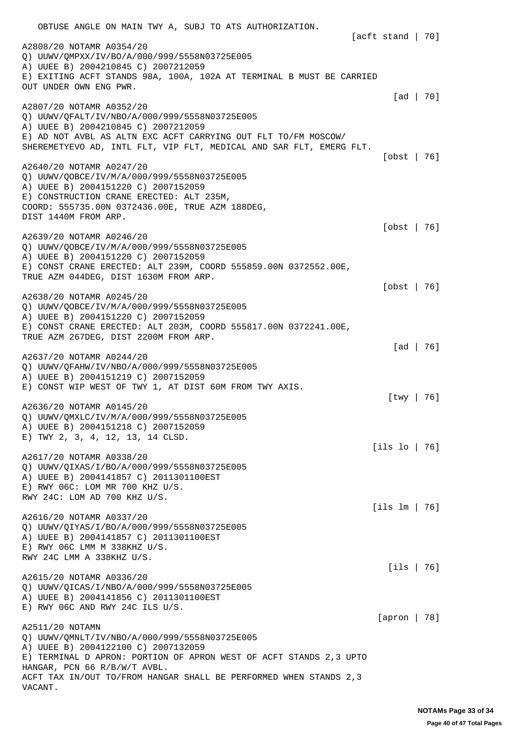OBTUSE ANGLE ON MAIN TWY A, SUBJ TO ATS AUTHORIZATION. [acft stand | 70] A2808/20 NOTAMR A0354/20 Q) UUWV/QMPXX/IV/BO/A/000/999/5558N03725E005 A) UUEE B) 2004210845 C) 2007212059 E) EXITING ACFT STANDS 98A, 100A, 102A AT TERMINAL B MUST BE CARRIED OUT UNDER OWN ENG PWR. [ad | 70] A2807/20 NOTAMR A0352/20 Q) UUWV/QFALT/IV/NBO/A/000/999/5558N03725E005 A) UUEE B) 2004210845 C) 2007212059 E) AD NOT AVBL AS ALTN EXC ACFT CARRYING OUT FLT TO/FM MOSCOW/ SHEREMETYEVO AD, INTL FLT, VIP FLT, MEDICAL AND SAR FLT, EMERG FLT. [obst | 76] A2640/20 NOTAMR A0247/20 Q) UUWV/QOBCE/IV/M/A/000/999/5558N03725E005 A) UUEE B) 2004151220 C) 2007152059 E) CONSTRUCTION CRANE ERECTED: ALT 235M, COORD: 555735.00N 0372436.00E, TRUE AZM 188DEG, DIST 1440M FROM ARP. [obst | 76] A2639/20 NOTAMR A0246/20 Q) UUWV/QOBCE/IV/M/A/000/999/5558N03725E005 A) UUEE B) 2004151220 C) 2007152059 E) CONST CRANE ERECTED: ALT 239M, COORD 555859.00N 0372552.00E, TRUE AZM 044DEG, DIST 1630M FROM ARP. [obst | 76] A2638/20 NOTAMR A0245/20 Q) UUWV/QOBCE/IV/M/A/000/999/5558N03725E005 A) UUEE B) 2004151220 C) 2007152059 E) CONST CRANE ERECTED: ALT 203M, COORD 555817.00N 0372241.00E, TRUE AZM 267DEG, DIST 2200M FROM ARP. [ad | 76] A2637/20 NOTAMR A0244/20 Q) UUWV/QFAHW/IV/NBO/A/000/999/5558N03725E005 A) UUEE B) 2004151219 C) 2007152059 E) CONST WIP WEST OF TWY 1, AT DIST 60M FROM TWY AXIS. [twy | 76] A2636/20 NOTAMR A0145/20 Q) UUWV/QMXLC/IV/M/A/000/999/5558N03725E005 A) UUEE B) 2004151218 C) 2007152059 E) TWY 2, 3, 4, 12, 13, 14 CLSD. [ils lo | 76] A2617/20 NOTAMR A0338/20 Q) UUWV/QIXAS/I/BO/A/000/999/5558N03725E005 A) UUEE B) 2004141857 C) 2011301100EST E) RWY 06C: LOM MR 700 KHZ U/S. RWY 24C: LOM AD 700 KHZ U/S. [ils lm | 76] A2616/20 NOTAMR A0337/20 Q) UUWV/QIYAS/I/BO/A/000/999/5558N03725E005 A) UUEE B) 2004141857 C) 2011301100EST E) RWY 06C LMM M 338KHZ U/S. RWY 24C LMM A 338KHZ U/S. [ils | 76] A2615/20 NOTAMR A0336/20 Q) UUWV/QICAS/I/NBO/A/000/999/5558N03725E005 A) UUEE B) 2004141856 C) 2011301100EST E) RWY 06C AND RWY 24C ILS U/S. [apron | 78] A2511/20 NOTAMN Q) UUWV/QMNLT/IV/NBO/A/000/999/5558N03725E005 A) UUEE B) 2004122100 C) 2007132059 E) TERMINAL D APRON: PORTION OF APRON WEST OF ACFT STANDS 2,3 UPTO HANGAR, PCN 66 R/B/W/T AVBL. ACFT TAX IN/OUT TO/FROM HANGAR SHALL BE PERFORMED WHEN STANDS 2,3 VACANT.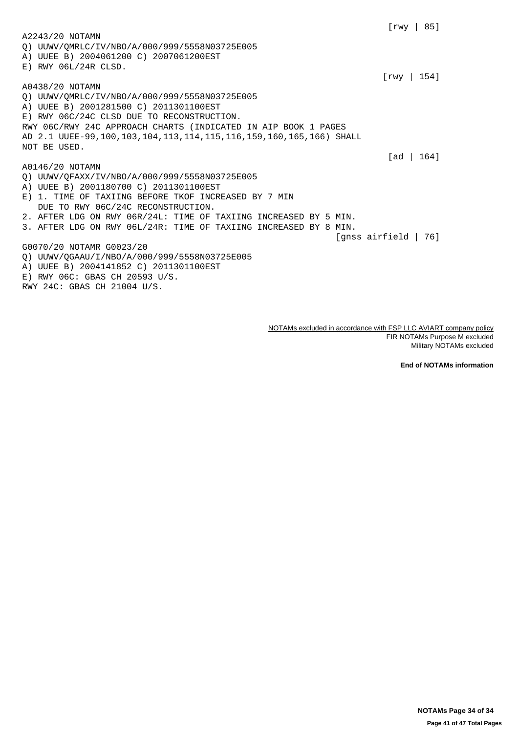[rwy | 85] A2243/20 NOTAMN Q) UUWV/QMRLC/IV/NBO/A/000/999/5558N03725E005 A) UUEE B) 2004061200 C) 2007061200EST E) RWY 06L/24R CLSD. [rwy | 154] A0438/20 NOTAMN Q) UUWV/QMRLC/IV/NBO/A/000/999/5558N03725E005 A) UUEE B) 2001281500 C) 2011301100EST E) RWY 06C/24C CLSD DUE TO RECONSTRUCTION. RWY 06C/RWY 24C APPROACH CHARTS (INDICATED IN AIP BOOK 1 PAGES AD 2.1 UUEE-99,100,103,104,113,114,115,116,159,160,165,166) SHALL NOT BE USED. [ad | 164] A0146/20 NOTAMN Q) UUWV/QFAXX/IV/NBO/A/000/999/5558N03725E005 A) UUEE B) 2001180700 C) 2011301100EST E) 1. TIME OF TAXIING BEFORE TKOF INCREASED BY 7 MIN DUE TO RWY 06C/24C RECONSTRUCTION. 2. AFTER LDG ON RWY 06R/24L: TIME OF TAXIING INCREASED BY 5 MIN. 3. AFTER LDG ON RWY 06L/24R: TIME OF TAXIING INCREASED BY 8 MIN. [gnss airfield | 76] G0070/20 NOTAMR G0023/20 Q) UUWV/QGAAU/I/NBO/A/000/999/5558N03725E005 A) UUEE B) 2004141852 C) 2011301100EST E) RWY 06C: GBAS CH 20593 U/S. RWY 24C: GBAS CH 21004 U/S.

> NOTAMs excluded in accordance with FSP LLC AVIART company policy FIR NOTAMs Purpose M excluded Military NOTAMs excluded

> > **End of NOTAMs information**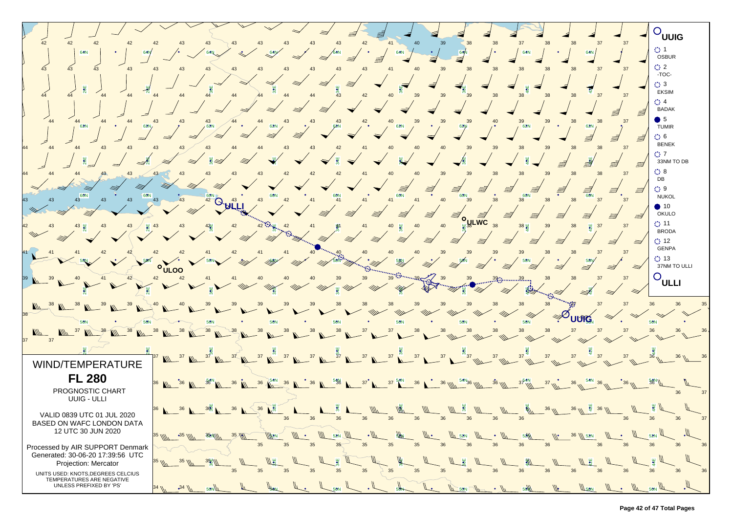

**Page 42 of 47 Total Pages**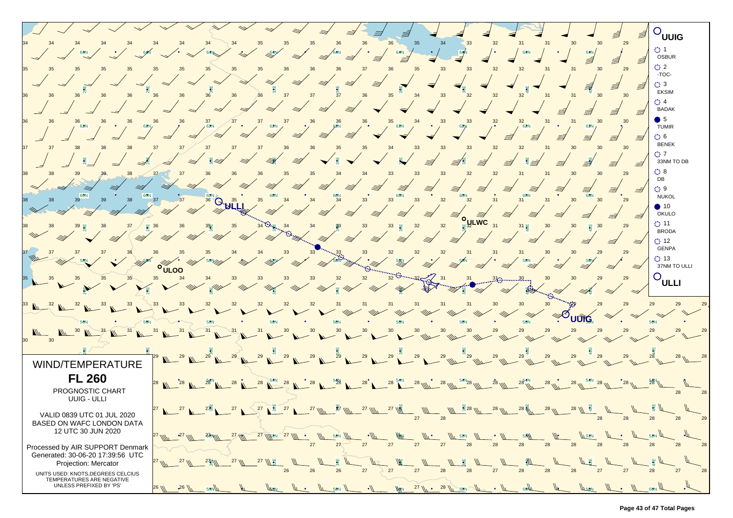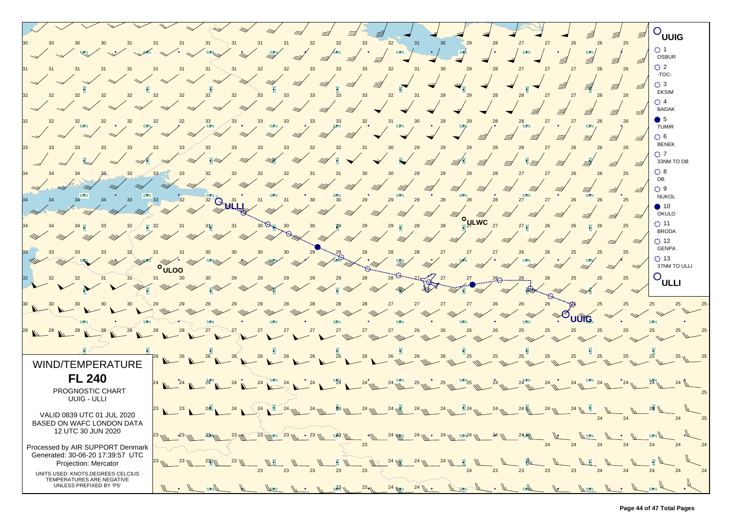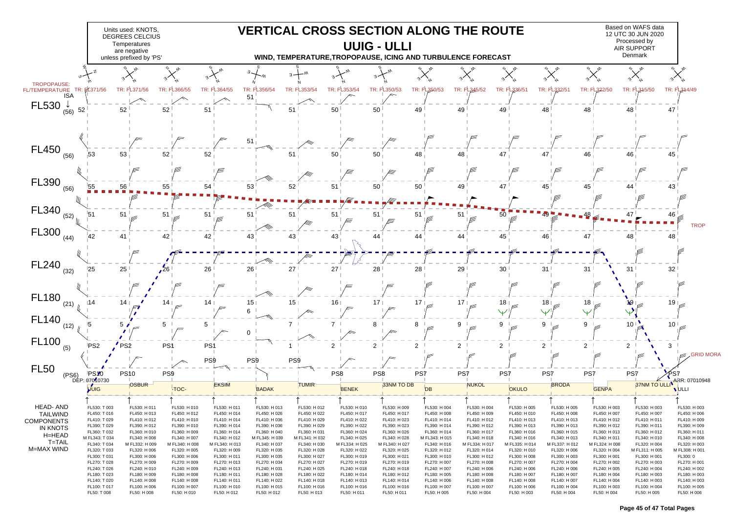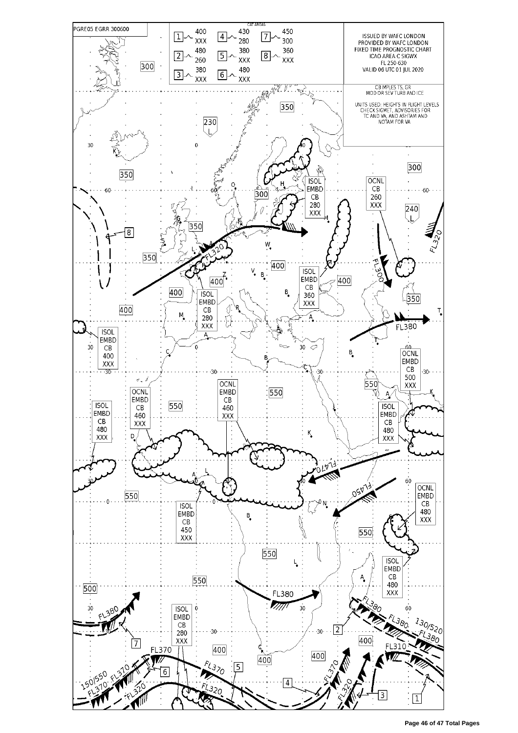